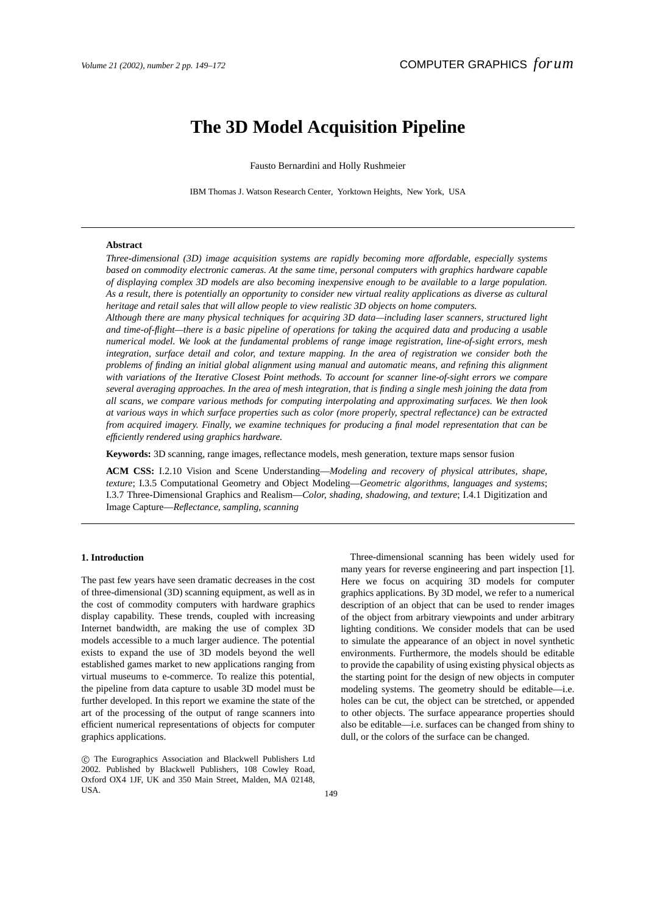# **The 3D Model Acquisition Pipeline**

Fausto Bernardini and Holly Rushmeier

IBM Thomas J. Watson Research Center, Yorktown Heights, New York, USA

## **Abstract**

*Three-dimensional (3D) image acquisition systems are rapidly becoming more affordable, especially systems based on commodity electronic cameras. At the same time, personal computers with graphics hardware capable of displaying complex 3D models are also becoming inexpensive enough to be available to a large population. As a result, there is potentially an opportunity to consider new virtual reality applications as diverse as cultural heritage and retail sales that will allow people to view realistic 3D objects on home computers.*

*Although there are many physical techniques for acquiring 3D data—including laser scanners, structured light and time-of-flight—there is a basic pipeline of operations for taking the acquired data and producing a usable numerical model. We look at the fundamental problems of range image registration, line-of-sight errors, mesh integration, surface detail and color, and texture mapping. In the area of registration we consider both the problems of finding an initial global alignment using manual and automatic means, and refining this alignment with variations of the Iterative Closest Point methods. To account for scanner line-of-sight errors we compare several averaging approaches. In the area of mesh integration, that is finding a single mesh joining the data from all scans, we compare various methods for computing interpolating and approximating surfaces. We then look at various ways in which surface properties such as color (more properly, spectral reflectance) can be extracted from acquired imagery. Finally, we examine techniques for producing a final model representation that can be efficiently rendered using graphics hardware.*

**Keywords:** 3D scanning, range images, reflectance models, mesh generation, texture maps sensor fusion

**ACM CSS:** I.2.10 Vision and Scene Understanding—*Modeling and recovery of physical attributes, shape, texture*; I.3.5 Computational Geometry and Object Modeling—*Geometric algorithms, languages and systems*; I.3.7 Three-Dimensional Graphics and Realism—*Color, shading, shadowing, and texture*; I.4.1 Digitization and Image Capture—*Reflectance, sampling, scanning*

# **1. Introduction**

The past few years have seen dramatic decreases in the cost of three-dimensional (3D) scanning equipment, as well as in the cost of commodity computers with hardware graphics display capability. These trends, coupled with increasing Internet bandwidth, are making the use of complex 3D models accessible to a much larger audience. The potential exists to expand the use of 3D models beyond the well established games market to new applications ranging from virtual museums to e-commerce. To realize this potential, the pipeline from data capture to usable 3D model must be further developed. In this report we examine the state of the art of the processing of the output of range scanners into efficient numerical representations of objects for computer graphics applications.

c The Eurographics Association and Blackwell Publishers Ltd 2002. Published by Blackwell Publishers, 108 Cowley Road, Oxford OX4 1JF, UK and 350 Main Street, Malden, MA 02148, USA.  $149$ 

Three-dimensional scanning has been widely used for many years for reverse engineering and part inspection [1]. Here we focus on acquiring 3D models for computer graphics applications. By 3D model, we refer to a numerical description of an object that can be used to render images of the object from arbitrary viewpoints and under arbitrary lighting conditions. We consider models that can be used to simulate the appearance of an object in novel synthetic environments. Furthermore, the models should be editable to provide the capability of using existing physical objects as the starting point for the design of new objects in computer modeling systems. The geometry should be editable—i.e. holes can be cut, the object can be stretched, or appended to other objects. The surface appearance properties should also be editable—i.e. surfaces can be changed from shiny to dull, or the colors of the surface can be changed.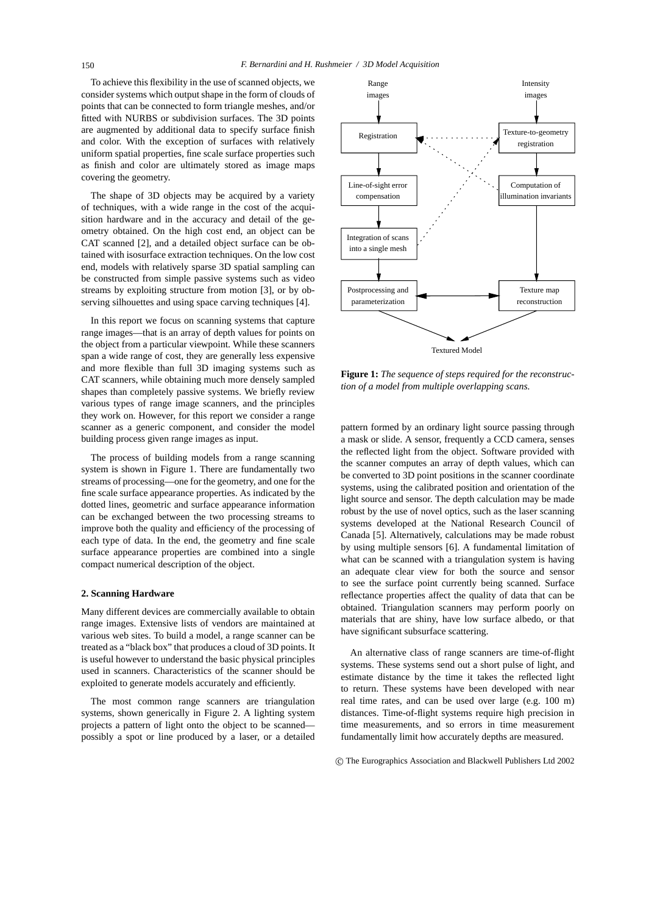To achieve this flexibility in the use of scanned objects, we consider systems which output shape in the form of clouds of points that can be connected to form triangle meshes, and/or fitted with NURBS or subdivision surfaces. The 3D points are augmented by additional data to specify surface finish and color. With the exception of surfaces with relatively uniform spatial properties, fine scale surface properties such as finish and color are ultimately stored as image maps covering the geometry.

The shape of 3D objects may be acquired by a variety of techniques, with a wide range in the cost of the acquisition hardware and in the accuracy and detail of the geometry obtained. On the high cost end, an object can be CAT scanned [2], and a detailed object surface can be obtained with isosurface extraction techniques. On the low cost end, models with relatively sparse 3D spatial sampling can be constructed from simple passive systems such as video streams by exploiting structure from motion [3], or by observing silhouettes and using space carving techniques [4].

In this report we focus on scanning systems that capture range images—that is an array of depth values for points on the object from a particular viewpoint. While these scanners span a wide range of cost, they are generally less expensive and more flexible than full 3D imaging systems such as CAT scanners, while obtaining much more densely sampled shapes than completely passive systems. We briefly review various types of range image scanners, and the principles they work on. However, for this report we consider a range scanner as a generic component, and consider the model building process given range images as input.

The process of building models from a range scanning system is shown in Figure 1. There are fundamentally two streams of processing—one for the geometry, and one for the fine scale surface appearance properties. As indicated by the dotted lines, geometric and surface appearance information can be exchanged between the two processing streams to improve both the quality and efficiency of the processing of each type of data. In the end, the geometry and fine scale surface appearance properties are combined into a single compact numerical description of the object.

#### **2. Scanning Hardware**

Many different devices are commercially available to obtain range images. Extensive lists of vendors are maintained at various web sites. To build a model, a range scanner can be treated as a "black box" that produces a cloud of 3D points. It is useful however to understand the basic physical principles used in scanners. Characteristics of the scanner should be exploited to generate models accurately and efficiently.

The most common range scanners are triangulation systems, shown generically in Figure 2. A lighting system projects a pattern of light onto the object to be scanned possibly a spot or line produced by a laser, or a detailed



**Figure 1:** *The sequence of steps required for the reconstruction of a model from multiple overlapping scans.*

pattern formed by an ordinary light source passing through a mask or slide. A sensor, frequently a CCD camera, senses the reflected light from the object. Software provided with the scanner computes an array of depth values, which can be converted to 3D point positions in the scanner coordinate systems, using the calibrated position and orientation of the light source and sensor. The depth calculation may be made robust by the use of novel optics, such as the laser scanning systems developed at the National Research Council of Canada [5]. Alternatively, calculations may be made robust by using multiple sensors [6]. A fundamental limitation of what can be scanned with a triangulation system is having an adequate clear view for both the source and sensor to see the surface point currently being scanned. Surface reflectance properties affect the quality of data that can be obtained. Triangulation scanners may perform poorly on materials that are shiny, have low surface albedo, or that have significant subsurface scattering.

An alternative class of range scanners are time-of-flight systems. These systems send out a short pulse of light, and estimate distance by the time it takes the reflected light to return. These systems have been developed with near real time rates, and can be used over large (e.g. 100 m) distances. Time-of-flight systems require high precision in time measurements, and so errors in time measurement fundamentally limit how accurately depths are measured.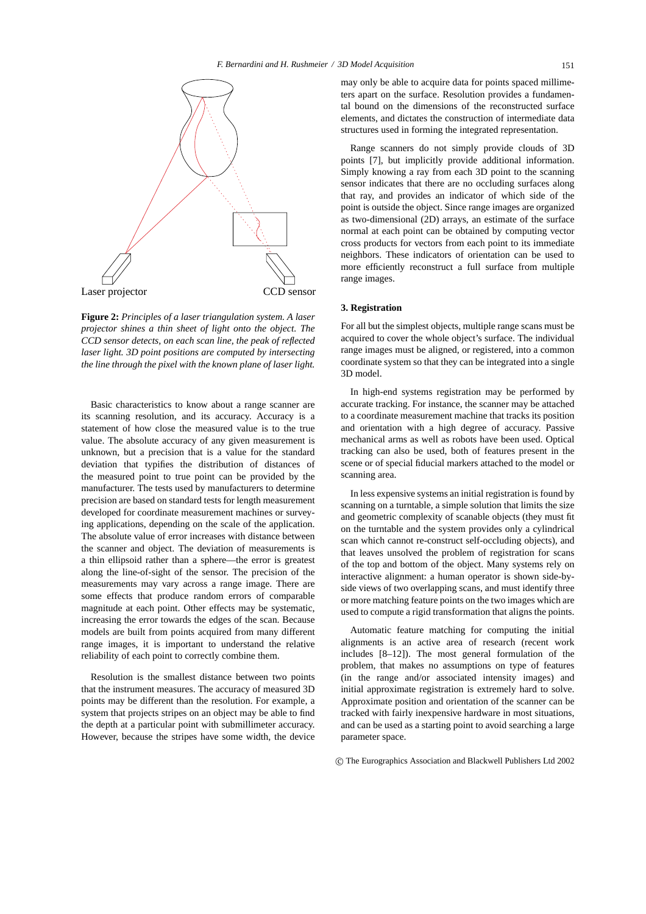

**Figure 2:** *Principles of a laser triangulation system. A laser projector shines a thin sheet of light onto the object. The CCD sensor detects, on each scan line, the peak of reflected laser light. 3D point positions are computed by intersecting the line through the pixel with the known plane of laser light.*

Basic characteristics to know about a range scanner are its scanning resolution, and its accuracy. Accuracy is a statement of how close the measured value is to the true value. The absolute accuracy of any given measurement is unknown, but a precision that is a value for the standard deviation that typifies the distribution of distances of the measured point to true point can be provided by the manufacturer. The tests used by manufacturers to determine precision are based on standard tests for length measurement developed for coordinate measurement machines or surveying applications, depending on the scale of the application. The absolute value of error increases with distance between the scanner and object. The deviation of measurements is a thin ellipsoid rather than a sphere—the error is greatest along the line-of-sight of the sensor. The precision of the measurements may vary across a range image. There are some effects that produce random errors of comparable magnitude at each point. Other effects may be systematic, increasing the error towards the edges of the scan. Because models are built from points acquired from many different range images, it is important to understand the relative reliability of each point to correctly combine them.

Resolution is the smallest distance between two points that the instrument measures. The accuracy of measured 3D points may be different than the resolution. For example, a system that projects stripes on an object may be able to find the depth at a particular point with submillimeter accuracy. However, because the stripes have some width, the device may only be able to acquire data for points spaced millimeters apart on the surface. Resolution provides a fundamental bound on the dimensions of the reconstructed surface elements, and dictates the construction of intermediate data structures used in forming the integrated representation.

Range scanners do not simply provide clouds of 3D points [7], but implicitly provide additional information. Simply knowing a ray from each 3D point to the scanning sensor indicates that there are no occluding surfaces along that ray, and provides an indicator of which side of the point is outside the object. Since range images are organized as two-dimensional (2D) arrays, an estimate of the surface normal at each point can be obtained by computing vector cross products for vectors from each point to its immediate neighbors. These indicators of orientation can be used to more efficiently reconstruct a full surface from multiple range images.

#### **3. Registration**

For all but the simplest objects, multiple range scans must be acquired to cover the whole object's surface. The individual range images must be aligned, or registered, into a common coordinate system so that they can be integrated into a single 3D model.

In high-end systems registration may be performed by accurate tracking. For instance, the scanner may be attached to a coordinate measurement machine that tracks its position and orientation with a high degree of accuracy. Passive mechanical arms as well as robots have been used. Optical tracking can also be used, both of features present in the scene or of special fiducial markers attached to the model or scanning area.

In less expensive systems an initial registration is found by scanning on a turntable, a simple solution that limits the size and geometric complexity of scanable objects (they must fit on the turntable and the system provides only a cylindrical scan which cannot re-construct self-occluding objects), and that leaves unsolved the problem of registration for scans of the top and bottom of the object. Many systems rely on interactive alignment: a human operator is shown side-byside views of two overlapping scans, and must identify three or more matching feature points on the two images which are used to compute a rigid transformation that aligns the points.

Automatic feature matching for computing the initial alignments is an active area of research (recent work includes [8–12]). The most general formulation of the problem, that makes no assumptions on type of features (in the range and/or associated intensity images) and initial approximate registration is extremely hard to solve. Approximate position and orientation of the scanner can be tracked with fairly inexpensive hardware in most situations, and can be used as a starting point to avoid searching a large parameter space.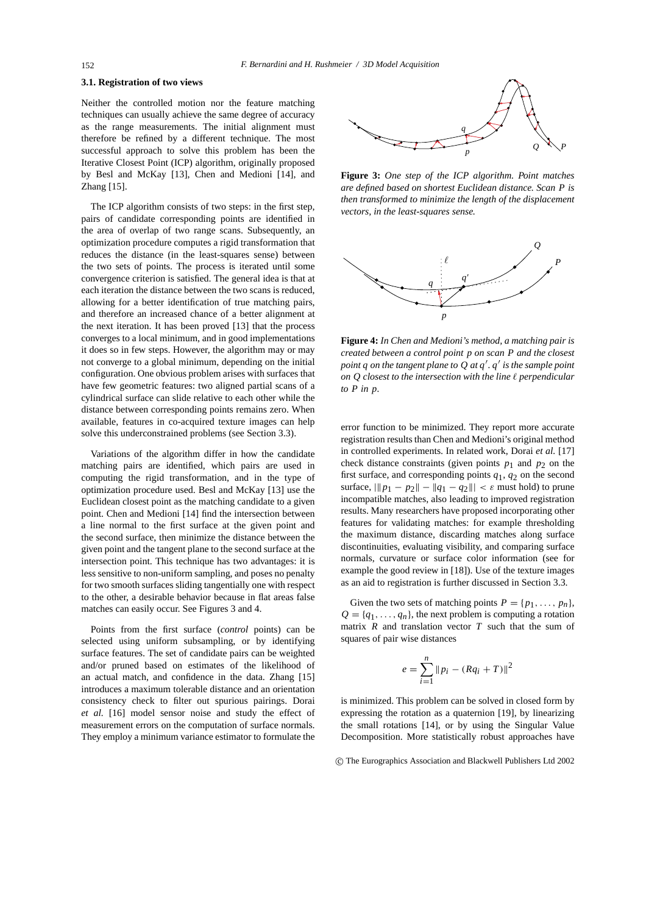# **3.1. Registration of two views**

Neither the controlled motion nor the feature matching techniques can usually achieve the same degree of accuracy as the range measurements. The initial alignment must therefore be refined by a different technique. The most successful approach to solve this problem has been the Iterative Closest Point (ICP) algorithm, originally proposed by Besl and McKay [13], Chen and Medioni [14], and Zhang [15].

The ICP algorithm consists of two steps: in the first step, pairs of candidate corresponding points are identified in the area of overlap of two range scans. Subsequently, an optimization procedure computes a rigid transformation that reduces the distance (in the least-squares sense) between the two sets of points. The process is iterated until some convergence criterion is satisfied. The general idea is that at each iteration the distance between the two scans is reduced, allowing for a better identification of true matching pairs, and therefore an increased chance of a better alignment at the next iteration. It has been proved [13] that the process converges to a local minimum, and in good implementations it does so in few steps. However, the algorithm may or may not converge to a global minimum, depending on the initial configuration. One obvious problem arises with surfaces that have few geometric features: two aligned partial scans of a cylindrical surface can slide relative to each other while the distance between corresponding points remains zero. When available, features in co-acquired texture images can help solve this underconstrained problems (see Section 3.3).

Variations of the algorithm differ in how the candidate matching pairs are identified, which pairs are used in computing the rigid transformation, and in the type of optimization procedure used. Besl and McKay [13] use the Euclidean closest point as the matching candidate to a given point. Chen and Medioni [14] find the intersection between a line normal to the first surface at the given point and the second surface, then minimize the distance between the given point and the tangent plane to the second surface at the intersection point. This technique has two advantages: it is less sensitive to non-uniform sampling, and poses no penalty for two smooth surfaces sliding tangentially one with respect to the other, a desirable behavior because in flat areas false matches can easily occur. See Figures 3 and 4.

Points from the first surface (*control* points) can be selected using uniform subsampling, or by identifying surface features. The set of candidate pairs can be weighted and/or pruned based on estimates of the likelihood of an actual match, and confidence in the data. Zhang [15] introduces a maximum tolerable distance and an orientation consistency check to filter out spurious pairings. Dorai *et al.* [16] model sensor noise and study the effect of measurement errors on the computation of surface normals. They employ a minimum variance estimator to formulate the



**Figure 3:** *One step of the ICP algorithm. Point matches are defined based on shortest Euclidean distance. Scan P is then transformed to minimize the length of the displacement vectors, in the least-squares sense.*



**Figure 4:** *In Chen and Medioni's method, a matching pair is created between a control point p on scan P and the closest* point *q* on the tangent plane to Q at *q'*. *q'* is the sample point *on Q closest to the intersection with the line*  $\ell$  *perpendicular to P in p.*

error function to be minimized. They report more accurate registration results than Chen and Medioni's original method in controlled experiments. In related work, Dorai *et al.* [17] check distance constraints (given points  $p_1$  and  $p_2$  on the first surface, and corresponding points  $q_1$ ,  $q_2$  on the second surface,  $||p_1 - p_2|| - ||q_1 - q_2|| < \varepsilon$  must hold) to prune incompatible matches, also leading to improved registration results. Many researchers have proposed incorporating other features for validating matches: for example thresholding the maximum distance, discarding matches along surface discontinuities, evaluating visibility, and comparing surface normals, curvature or surface color information (see for example the good review in [18]). Use of the texture images as an aid to registration is further discussed in Section 3.3.

Given the two sets of matching points  $P = \{p_1, \ldots, p_n\}$ ,  $Q = \{q_1, \ldots, q_n\}$ , the next problem is computing a rotation matrix *R* and translation vector *T* such that the sum of squares of pair wise distances

$$
e = \sum_{i=1}^{n} ||p_i - (Rq_i + T)||^2
$$

is minimized. This problem can be solved in closed form by expressing the rotation as a quaternion [19], by linearizing the small rotations [14], or by using the Singular Value Decomposition. More statistically robust approaches have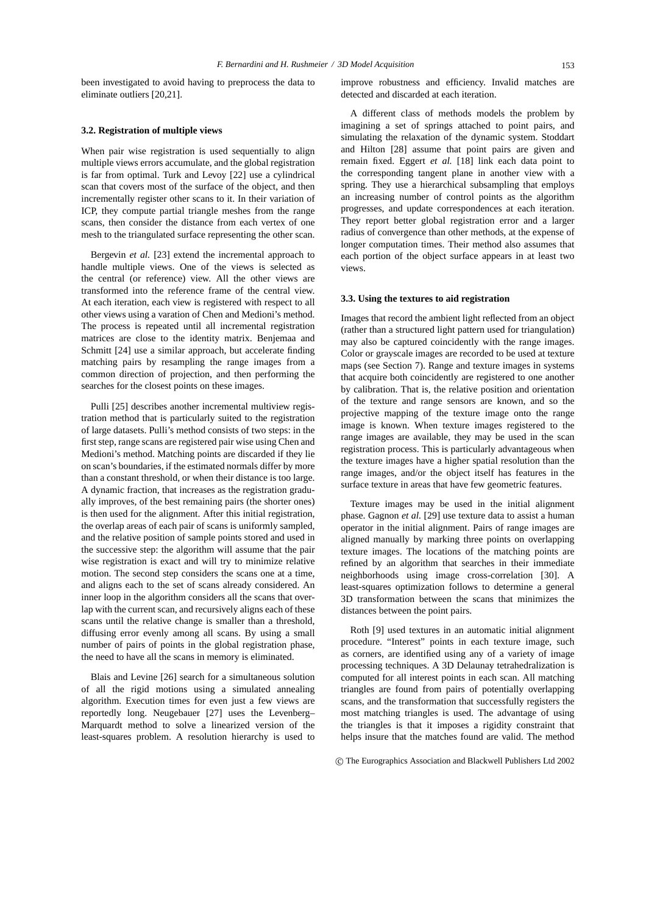been investigated to avoid having to preprocess the data to eliminate outliers [20,21].

## **3.2. Registration of multiple views**

When pair wise registration is used sequentially to align multiple views errors accumulate, and the global registration is far from optimal. Turk and Levoy [22] use a cylindrical scan that covers most of the surface of the object, and then incrementally register other scans to it. In their variation of ICP, they compute partial triangle meshes from the range scans, then consider the distance from each vertex of one mesh to the triangulated surface representing the other scan.

Bergevin *et al.* [23] extend the incremental approach to handle multiple views. One of the views is selected as the central (or reference) view. All the other views are transformed into the reference frame of the central view. At each iteration, each view is registered with respect to all other views using a varation of Chen and Medioni's method. The process is repeated until all incremental registration matrices are close to the identity matrix. Benjemaa and Schmitt [24] use a similar approach, but accelerate finding matching pairs by resampling the range images from a common direction of projection, and then performing the searches for the closest points on these images.

Pulli [25] describes another incremental multiview registration method that is particularly suited to the registration of large datasets. Pulli's method consists of two steps: in the first step, range scans are registered pair wise using Chen and Medioni's method. Matching points are discarded if they lie on scan's boundaries, if the estimated normals differ by more than a constant threshold, or when their distance is too large. A dynamic fraction, that increases as the registration gradually improves, of the best remaining pairs (the shorter ones) is then used for the alignment. After this initial registration, the overlap areas of each pair of scans is uniformly sampled, and the relative position of sample points stored and used in the successive step: the algorithm will assume that the pair wise registration is exact and will try to minimize relative motion. The second step considers the scans one at a time, and aligns each to the set of scans already considered. An inner loop in the algorithm considers all the scans that overlap with the current scan, and recursively aligns each of these scans until the relative change is smaller than a threshold, diffusing error evenly among all scans. By using a small number of pairs of points in the global registration phase, the need to have all the scans in memory is eliminated.

Blais and Levine [26] search for a simultaneous solution of all the rigid motions using a simulated annealing algorithm. Execution times for even just a few views are reportedly long. Neugebauer [27] uses the Levenberg– Marquardt method to solve a linearized version of the least-squares problem. A resolution hierarchy is used to improve robustness and efficiency. Invalid matches are detected and discarded at each iteration.

A different class of methods models the problem by imagining a set of springs attached to point pairs, and simulating the relaxation of the dynamic system. Stoddart and Hilton [28] assume that point pairs are given and remain fixed. Eggert *et al.* [18] link each data point to the corresponding tangent plane in another view with a spring. They use a hierarchical subsampling that employs an increasing number of control points as the algorithm progresses, and update correspondences at each iteration. They report better global registration error and a larger radius of convergence than other methods, at the expense of longer computation times. Their method also assumes that each portion of the object surface appears in at least two views.

## **3.3. Using the textures to aid registration**

Images that record the ambient light reflected from an object (rather than a structured light pattern used for triangulation) may also be captured coincidently with the range images. Color or grayscale images are recorded to be used at texture maps (see Section 7). Range and texture images in systems that acquire both coincidently are registered to one another by calibration. That is, the relative position and orientation of the texture and range sensors are known, and so the projective mapping of the texture image onto the range image is known. When texture images registered to the range images are available, they may be used in the scan registration process. This is particularly advantageous when the texture images have a higher spatial resolution than the range images, and/or the object itself has features in the surface texture in areas that have few geometric features.

Texture images may be used in the initial alignment phase. Gagnon *et al.* [29] use texture data to assist a human operator in the initial alignment. Pairs of range images are aligned manually by marking three points on overlapping texture images. The locations of the matching points are refined by an algorithm that searches in their immediate neighborhoods using image cross-correlation [30]. A least-squares optimization follows to determine a general 3D transformation between the scans that minimizes the distances between the point pairs.

Roth [9] used textures in an automatic initial alignment procedure. "Interest" points in each texture image, such as corners, are identified using any of a variety of image processing techniques. A 3D Delaunay tetrahedralization is computed for all interest points in each scan. All matching triangles are found from pairs of potentially overlapping scans, and the transformation that successfully registers the most matching triangles is used. The advantage of using the triangles is that it imposes a rigidity constraint that helps insure that the matches found are valid. The method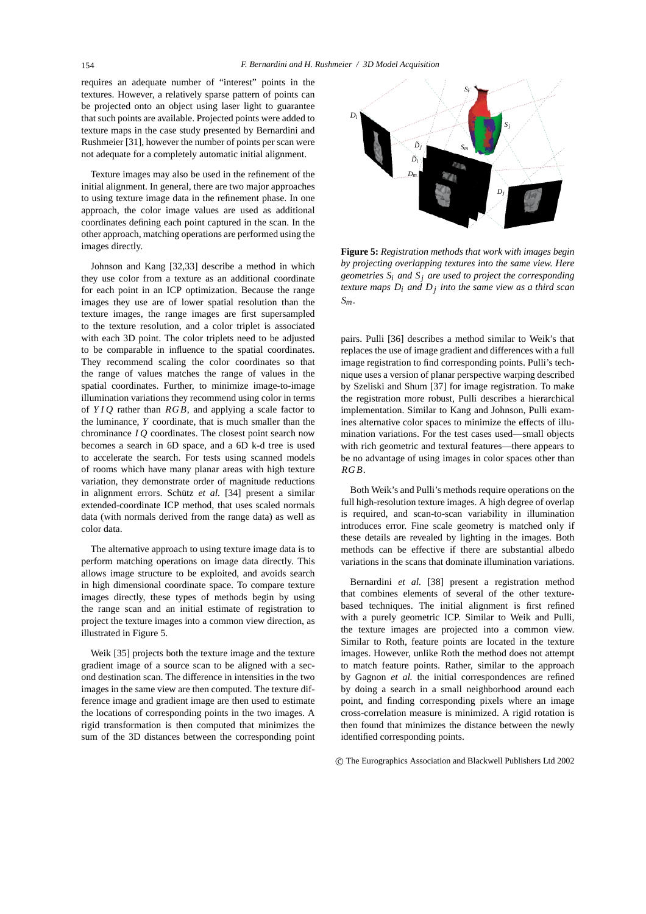requires an adequate number of "interest" points in the textures. However, a relatively sparse pattern of points can be projected onto an object using laser light to guarantee that such points are available. Projected points were added to texture maps in the case study presented by Bernardini and Rushmeier [31], however the number of points per scan were not adequate for a completely automatic initial alignment.

Texture images may also be used in the refinement of the initial alignment. In general, there are two major approaches to using texture image data in the refinement phase. In one approach, the color image values are used as additional coordinates defining each point captured in the scan. In the other approach, matching operations are performed using the images directly.

Johnson and Kang [32,33] describe a method in which they use color from a texture as an additional coordinate for each point in an ICP optimization. Because the range images they use are of lower spatial resolution than the texture images, the range images are first supersampled to the texture resolution, and a color triplet is associated with each 3D point. The color triplets need to be adjusted to be comparable in influence to the spatial coordinates. They recommend scaling the color coordinates so that the range of values matches the range of values in the spatial coordinates. Further, to minimize image-to-image illumination variations they recommend using color in terms of *YIQ* rather than *RGB*, and applying a scale factor to the luminance, *Y* coordinate, that is much smaller than the chrominance *I Q* coordinates. The closest point search now becomes a search in 6D space, and a 6D k-d tree is used to accelerate the search. For tests using scanned models of rooms which have many planar areas with high texture variation, they demonstrate order of magnitude reductions in alignment errors. Schütz et al. [34] present a similar extended-coordinate ICP method, that uses scaled normals data (with normals derived from the range data) as well as color data.

The alternative approach to using texture image data is to perform matching operations on image data directly. This allows image structure to be exploited, and avoids search in high dimensional coordinate space. To compare texture images directly, these types of methods begin by using the range scan and an initial estimate of registration to project the texture images into a common view direction, as illustrated in Figure 5.

Weik [35] projects both the texture image and the texture gradient image of a source scan to be aligned with a second destination scan. The difference in intensities in the two images in the same view are then computed. The texture difference image and gradient image are then used to estimate the locations of corresponding points in the two images. A rigid transformation is then computed that minimizes the sum of the 3D distances between the corresponding point



**Figure 5:** *Registration methods that work with images begin by projecting overlapping textures into the same view. Here geometries Si and Sj are used to project the corresponding texture maps Di and Dj into the same view as a third scan Sm.*

pairs. Pulli [36] describes a method similar to Weik's that replaces the use of image gradient and differences with a full image registration to find corresponding points. Pulli's technique uses a version of planar perspective warping described by Szeliski and Shum [37] for image registration. To make the registration more robust, Pulli describes a hierarchical implementation. Similar to Kang and Johnson, Pulli examines alternative color spaces to minimize the effects of illumination variations. For the test cases used—small objects with rich geometric and textural features—there appears to be no advantage of using images in color spaces other than *RGB*.

Both Weik's and Pulli's methods require operations on the full high-resolution texture images. A high degree of overlap is required, and scan-to-scan variability in illumination introduces error. Fine scale geometry is matched only if these details are revealed by lighting in the images. Both methods can be effective if there are substantial albedo variations in the scans that dominate illumination variations.

Bernardini *et al.* [38] present a registration method that combines elements of several of the other texturebased techniques. The initial alignment is first refined with a purely geometric ICP. Similar to Weik and Pulli, the texture images are projected into a common view. Similar to Roth, feature points are located in the texture images. However, unlike Roth the method does not attempt to match feature points. Rather, similar to the approach by Gagnon *et al.* the initial correspondences are refined by doing a search in a small neighborhood around each point, and finding corresponding pixels where an image cross-correlation measure is minimized. A rigid rotation is then found that minimizes the distance between the newly identified corresponding points.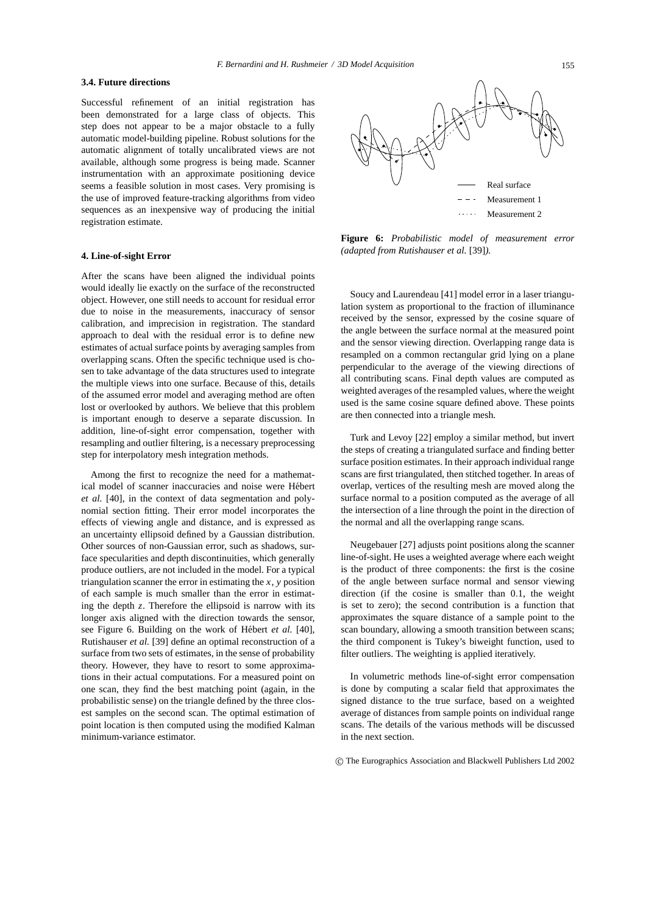# **3.4. Future directions**

Successful refinement of an initial registration has been demonstrated for a large class of objects. This step does not appear to be a major obstacle to a fully automatic model-building pipeline. Robust solutions for the automatic alignment of totally uncalibrated views are not available, although some progress is being made. Scanner instrumentation with an approximate positioning device seems a feasible solution in most cases. Very promising is the use of improved feature-tracking algorithms from video sequences as an inexpensive way of producing the initial registration estimate.

# **4. Line-of-sight Error**

After the scans have been aligned the individual points would ideally lie exactly on the surface of the reconstructed object. However, one still needs to account for residual error due to noise in the measurements, inaccuracy of sensor calibration, and imprecision in registration. The standard approach to deal with the residual error is to define new estimates of actual surface points by averaging samples from overlapping scans. Often the specific technique used is chosen to take advantage of the data structures used to integrate the multiple views into one surface. Because of this, details of the assumed error model and averaging method are often lost or overlooked by authors. We believe that this problem is important enough to deserve a separate discussion. In addition, line-of-sight error compensation, together with resampling and outlier filtering, is a necessary preprocessing step for interpolatory mesh integration methods.

Among the first to recognize the need for a mathematical model of scanner inaccuracies and noise were Hebert ´ *et al.* [40], in the context of data segmentation and polynomial section fitting. Their error model incorporates the effects of viewing angle and distance, and is expressed as an uncertainty ellipsoid defined by a Gaussian distribution. Other sources of non-Gaussian error, such as shadows, surface specularities and depth discontinuities, which generally produce outliers, are not included in the model. For a typical triangulation scanner the error in estimating the  $x$ ,  $y$  position of each sample is much smaller than the error in estimating the depth *z*. Therefore the ellipsoid is narrow with its longer axis aligned with the direction towards the sensor, see Figure 6. Building on the work of Hébert et al. [40], Rutishauser *et al.* [39] define an optimal reconstruction of a surface from two sets of estimates, in the sense of probability theory. However, they have to resort to some approximations in their actual computations. For a measured point on one scan, they find the best matching point (again, in the probabilistic sense) on the triangle defined by the three closest samples on the second scan. The optimal estimation of point location is then computed using the modified Kalman minimum-variance estimator.



**Figure 6:** *Probabilistic model of measurement error (adapted from Rutishauser et al.* [39]*).*

Soucy and Laurendeau [41] model error in a laser triangulation system as proportional to the fraction of illuminance received by the sensor, expressed by the cosine square of the angle between the surface normal at the measured point and the sensor viewing direction. Overlapping range data is resampled on a common rectangular grid lying on a plane perpendicular to the average of the viewing directions of all contributing scans. Final depth values are computed as weighted averages of the resampled values, where the weight used is the same cosine square defined above. These points are then connected into a triangle mesh.

Turk and Levoy [22] employ a similar method, but invert the steps of creating a triangulated surface and finding better surface position estimates. In their approach individual range scans are first triangulated, then stitched together. In areas of overlap, vertices of the resulting mesh are moved along the surface normal to a position computed as the average of all the intersection of a line through the point in the direction of the normal and all the overlapping range scans.

Neugebauer [27] adjusts point positions along the scanner line-of-sight. He uses a weighted average where each weight is the product of three components: the first is the cosine of the angle between surface normal and sensor viewing direction (if the cosine is smaller than 0.1, the weight is set to zero); the second contribution is a function that approximates the square distance of a sample point to the scan boundary, allowing a smooth transition between scans; the third component is Tukey's biweight function, used to filter outliers. The weighting is applied iteratively.

In volumetric methods line-of-sight error compensation is done by computing a scalar field that approximates the signed distance to the true surface, based on a weighted average of distances from sample points on individual range scans. The details of the various methods will be discussed in the next section.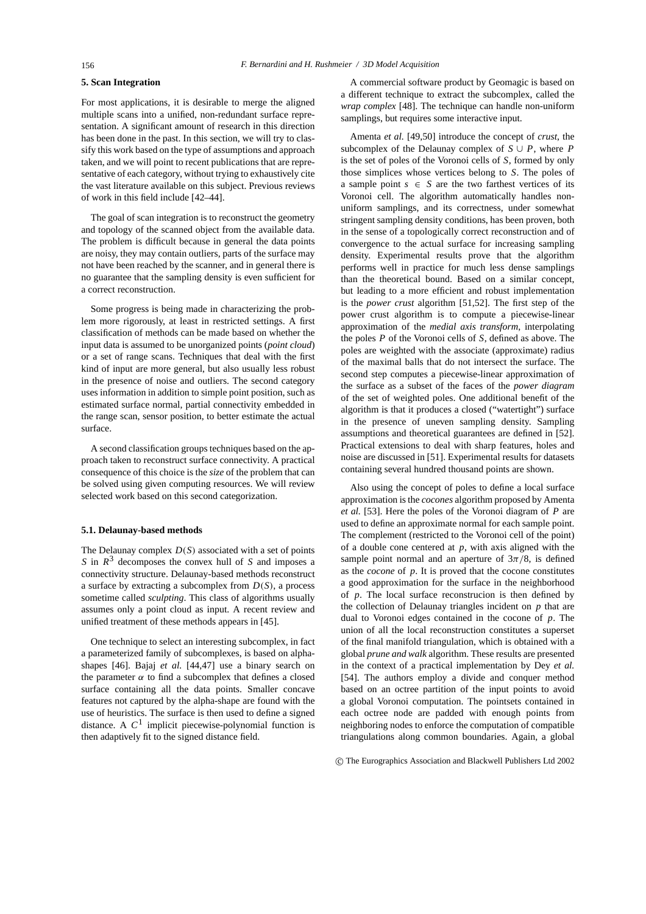## **5. Scan Integration**

For most applications, it is desirable to merge the aligned multiple scans into a unified, non-redundant surface representation. A significant amount of research in this direction has been done in the past. In this section, we will try to classify this work based on the type of assumptions and approach taken, and we will point to recent publications that are representative of each category, without trying to exhaustively cite the vast literature available on this subject. Previous reviews of work in this field include [42–44].

The goal of scan integration is to reconstruct the geometry and topology of the scanned object from the available data. The problem is difficult because in general the data points are noisy, they may contain outliers, parts of the surface may not have been reached by the scanner, and in general there is no guarantee that the sampling density is even sufficient for a correct reconstruction.

Some progress is being made in characterizing the problem more rigorously, at least in restricted settings. A first classification of methods can be made based on whether the input data is assumed to be unorganized points (*point cloud*) or a set of range scans. Techniques that deal with the first kind of input are more general, but also usually less robust in the presence of noise and outliers. The second category uses information in addition to simple point position, such as estimated surface normal, partial connectivity embedded in the range scan, sensor position, to better estimate the actual surface.

A second classification groups techniques based on the approach taken to reconstruct surface connectivity. A practical consequence of this choice is the *size* of the problem that can be solved using given computing resources. We will review selected work based on this second categorization.

# **5.1. Delaunay-based methods**

The Delaunay complex *D*(*S*) associated with a set of points *S* in *R*<sup>3</sup> decomposes the convex hull of *S* and imposes a connectivity structure. Delaunay-based methods reconstruct a surface by extracting a subcomplex from *D*(*S*), a process sometime called *sculpting*. This class of algorithms usually assumes only a point cloud as input. A recent review and unified treatment of these methods appears in [45].

One technique to select an interesting subcomplex, in fact a parameterized family of subcomplexes, is based on alphashapes [46]. Bajaj *et al.* [44,47] use a binary search on the parameter  $\alpha$  to find a subcomplex that defines a closed surface containing all the data points. Smaller concave features not captured by the alpha-shape are found with the use of heuristics. The surface is then used to define a signed distance. A  $C<sup>1</sup>$  implicit piecewise-polynomial function is then adaptively fit to the signed distance field.

A commercial software product by Geomagic is based on a different technique to extract the subcomplex, called the *wrap complex* [48]. The technique can handle non-uniform samplings, but requires some interactive input.

Amenta *et al.* [49,50] introduce the concept of *crust*, the subcomplex of the Delaunay complex of  $S \cup P$ , where  $P$ is the set of poles of the Voronoi cells of *S*, formed by only those simplices whose vertices belong to *S*. The poles of a sample point  $s \in S$  are the two farthest vertices of its Voronoi cell. The algorithm automatically handles nonuniform samplings, and its correctness, under somewhat stringent sampling density conditions, has been proven, both in the sense of a topologically correct reconstruction and of convergence to the actual surface for increasing sampling density. Experimental results prove that the algorithm performs well in practice for much less dense samplings than the theoretical bound. Based on a similar concept, but leading to a more efficient and robust implementation is the *power crust* algorithm [51,52]. The first step of the power crust algorithm is to compute a piecewise-linear approximation of the *medial axis transform*, interpolating the poles *P* of the Voronoi cells of *S*, defined as above. The poles are weighted with the associate (approximate) radius of the maximal balls that do not intersect the surface. The second step computes a piecewise-linear approximation of the surface as a subset of the faces of the *power diagram* of the set of weighted poles. One additional benefit of the algorithm is that it produces a closed ("watertight") surface in the presence of uneven sampling density. Sampling assumptions and theoretical guarantees are defined in [52]. Practical extensions to deal with sharp features, holes and noise are discussed in [51]. Experimental results for datasets containing several hundred thousand points are shown.

Also using the concept of poles to define a local surface approximation is the *cocones* algorithm proposed by Amenta *et al.* [53]. Here the poles of the Voronoi diagram of *P* are used to define an approximate normal for each sample point. The complement (restricted to the Voronoi cell of the point) of a double cone centered at *p*, with axis aligned with the sample point normal and an aperture of  $3\pi/8$ , is defined as the *cocone* of *p*. It is proved that the cocone constitutes a good approximation for the surface in the neighborhood of *p*. The local surface reconstrucion is then defined by the collection of Delaunay triangles incident on *p* that are dual to Voronoi edges contained in the cocone of *p*. The union of all the local reconstruction constitutes a superset of the final manifold triangulation, which is obtained with a global *prune and walk* algorithm. These results are presented in the context of a practical implementation by Dey *et al.* [54]. The authors employ a divide and conquer method based on an octree partition of the input points to avoid a global Voronoi computation. The pointsets contained in each octree node are padded with enough points from neighboring nodes to enforce the computation of compatible triangulations along common boundaries. Again, a global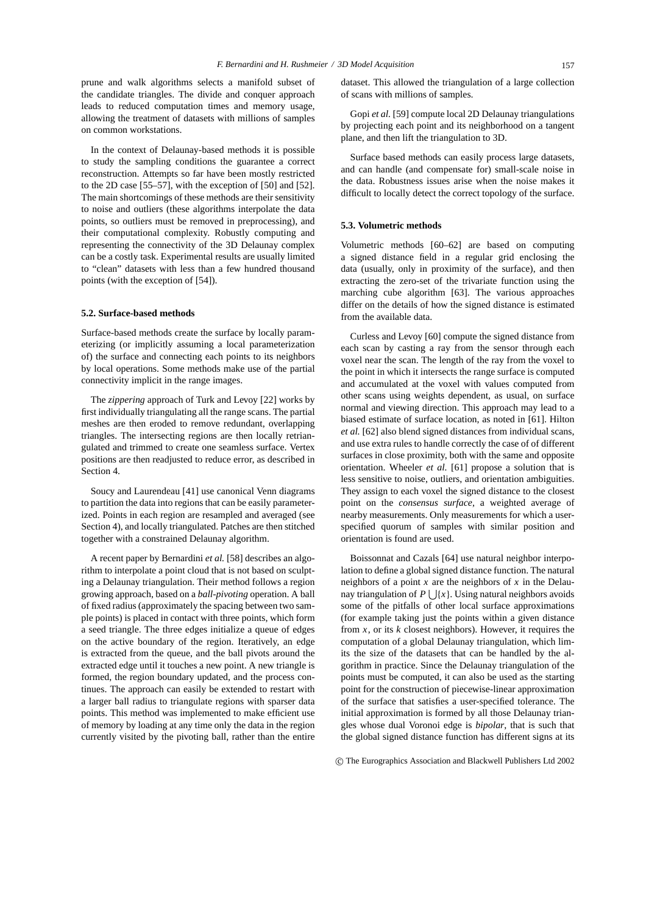prune and walk algorithms selects a manifold subset of the candidate triangles. The divide and conquer approach leads to reduced computation times and memory usage, allowing the treatment of datasets with millions of samples on common workstations.

In the context of Delaunay-based methods it is possible to study the sampling conditions the guarantee a correct reconstruction. Attempts so far have been mostly restricted to the 2D case [55–57], with the exception of [50] and [52]. The main shortcomings of these methods are their sensitivity to noise and outliers (these algorithms interpolate the data points, so outliers must be removed in preprocessing), and their computational complexity. Robustly computing and representing the connectivity of the 3D Delaunay complex can be a costly task. Experimental results are usually limited to "clean" datasets with less than a few hundred thousand points (with the exception of [54]).

# **5.2. Surface-based methods**

Surface-based methods create the surface by locally parameterizing (or implicitly assuming a local parameterization of) the surface and connecting each points to its neighbors by local operations. Some methods make use of the partial connectivity implicit in the range images.

The *zippering* approach of Turk and Levoy [22] works by first individually triangulating all the range scans. The partial meshes are then eroded to remove redundant, overlapping triangles. The intersecting regions are then locally retriangulated and trimmed to create one seamless surface. Vertex positions are then readjusted to reduce error, as described in Section 4.

Soucy and Laurendeau [41] use canonical Venn diagrams to partition the data into regions that can be easily parameterized. Points in each region are resampled and averaged (see Section 4), and locally triangulated. Patches are then stitched together with a constrained Delaunay algorithm.

A recent paper by Bernardini *et al.* [58] describes an algorithm to interpolate a point cloud that is not based on sculpting a Delaunay triangulation. Their method follows a region growing approach, based on a *ball-pivoting* operation. A ball of fixed radius (approximately the spacing between two sample points) is placed in contact with three points, which form a seed triangle. The three edges initialize a queue of edges on the active boundary of the region. Iteratively, an edge is extracted from the queue, and the ball pivots around the extracted edge until it touches a new point. A new triangle is formed, the region boundary updated, and the process continues. The approach can easily be extended to restart with a larger ball radius to triangulate regions with sparser data points. This method was implemented to make efficient use of memory by loading at any time only the data in the region currently visited by the pivoting ball, rather than the entire dataset. This allowed the triangulation of a large collection of scans with millions of samples.

Gopi *et al.* [59] compute local 2D Delaunay triangulations by projecting each point and its neighborhood on a tangent plane, and then lift the triangulation to 3D.

Surface based methods can easily process large datasets, and can handle (and compensate for) small-scale noise in the data. Robustness issues arise when the noise makes it difficult to locally detect the correct topology of the surface.

## **5.3. Volumetric methods**

Volumetric methods [60–62] are based on computing a signed distance field in a regular grid enclosing the data (usually, only in proximity of the surface), and then extracting the zero-set of the trivariate function using the marching cube algorithm [63]. The various approaches differ on the details of how the signed distance is estimated from the available data.

Curless and Levoy [60] compute the signed distance from each scan by casting a ray from the sensor through each voxel near the scan. The length of the ray from the voxel to the point in which it intersects the range surface is computed and accumulated at the voxel with values computed from other scans using weights dependent, as usual, on surface normal and viewing direction. This approach may lead to a biased estimate of surface location, as noted in [61]. Hilton *et al.* [62] also blend signed distances from individual scans, and use extra rules to handle correctly the case of of different surfaces in close proximity, both with the same and opposite orientation. Wheeler *et al.* [61] propose a solution that is less sensitive to noise, outliers, and orientation ambiguities. They assign to each voxel the signed distance to the closest point on the *consensus surface*, a weighted average of nearby measurements. Only measurements for which a userspecified quorum of samples with similar position and orientation is found are used.

Boissonnat and Cazals [64] use natural neighbor interpolation to define a global signed distance function. The natural neighbors of a point *x* are the neighbors of *x* in the Delaunay triangulation of  $P \mid |{x}|$ . Using natural neighbors avoids some of the pitfalls of other local surface approximations (for example taking just the points within a given distance from *x*, or its *k* closest neighbors). However, it requires the computation of a global Delaunay triangulation, which limits the size of the datasets that can be handled by the algorithm in practice. Since the Delaunay triangulation of the points must be computed, it can also be used as the starting point for the construction of piecewise-linear approximation of the surface that satisfies a user-specified tolerance. The initial approximation is formed by all those Delaunay triangles whose dual Voronoi edge is *bipolar*, that is such that the global signed distance function has different signs at its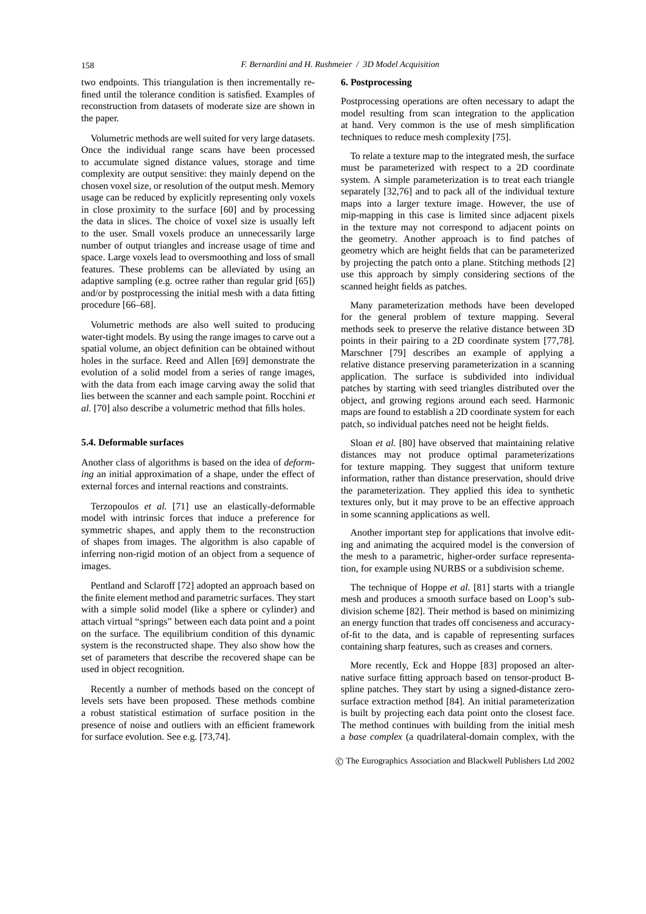two endpoints. This triangulation is then incrementally refined until the tolerance condition is satisfied. Examples of reconstruction from datasets of moderate size are shown in the paper.

Volumetric methods are well suited for very large datasets. Once the individual range scans have been processed to accumulate signed distance values, storage and time complexity are output sensitive: they mainly depend on the chosen voxel size, or resolution of the output mesh. Memory usage can be reduced by explicitly representing only voxels in close proximity to the surface [60] and by processing the data in slices. The choice of voxel size is usually left to the user. Small voxels produce an unnecessarily large number of output triangles and increase usage of time and space. Large voxels lead to oversmoothing and loss of small features. These problems can be alleviated by using an adaptive sampling (e.g. octree rather than regular grid [65]) and/or by postprocessing the initial mesh with a data fitting procedure [66–68].

Volumetric methods are also well suited to producing water-tight models. By using the range images to carve out a spatial volume, an object definition can be obtained without holes in the surface. Reed and Allen [69] demonstrate the evolution of a solid model from a series of range images, with the data from each image carving away the solid that lies between the scanner and each sample point. Rocchini *et al.* [70] also describe a volumetric method that fills holes.

# **5.4. Deformable surfaces**

Another class of algorithms is based on the idea of *deforming* an initial approximation of a shape, under the effect of external forces and internal reactions and constraints.

Terzopoulos *et al.* [71] use an elastically-deformable model with intrinsic forces that induce a preference for symmetric shapes, and apply them to the reconstruction of shapes from images. The algorithm is also capable of inferring non-rigid motion of an object from a sequence of images.

Pentland and Sclaroff [72] adopted an approach based on the finite element method and parametric surfaces. They start with a simple solid model (like a sphere or cylinder) and attach virtual "springs" between each data point and a point on the surface. The equilibrium condition of this dynamic system is the reconstructed shape. They also show how the set of parameters that describe the recovered shape can be used in object recognition.

Recently a number of methods based on the concept of levels sets have been proposed. These methods combine a robust statistical estimation of surface position in the presence of noise and outliers with an efficient framework for surface evolution. See e.g. [73,74].

#### **6. Postprocessing**

Postprocessing operations are often necessary to adapt the model resulting from scan integration to the application at hand. Very common is the use of mesh simplification techniques to reduce mesh complexity [75].

To relate a texture map to the integrated mesh, the surface must be parameterized with respect to a 2D coordinate system. A simple parameterization is to treat each triangle separately [32,76] and to pack all of the individual texture maps into a larger texture image. However, the use of mip-mapping in this case is limited since adjacent pixels in the texture may not correspond to adjacent points on the geometry. Another approach is to find patches of geometry which are height fields that can be parameterized by projecting the patch onto a plane. Stitching methods [2] use this approach by simply considering sections of the scanned height fields as patches.

Many parameterization methods have been developed for the general problem of texture mapping. Several methods seek to preserve the relative distance between 3D points in their pairing to a 2D coordinate system [77,78]. Marschner [79] describes an example of applying a relative distance preserving parameterization in a scanning application. The surface is subdivided into individual patches by starting with seed triangles distributed over the object, and growing regions around each seed. Harmonic maps are found to establish a 2D coordinate system for each patch, so individual patches need not be height fields.

Sloan *et al.* [80] have observed that maintaining relative distances may not produce optimal parameterizations for texture mapping. They suggest that uniform texture information, rather than distance preservation, should drive the parameterization. They applied this idea to synthetic textures only, but it may prove to be an effective approach in some scanning applications as well.

Another important step for applications that involve editing and animating the acquired model is the conversion of the mesh to a parametric, higher-order surface representation, for example using NURBS or a subdivision scheme.

The technique of Hoppe *et al.* [81] starts with a triangle mesh and produces a smooth surface based on Loop's subdivision scheme [82]. Their method is based on minimizing an energy function that trades off conciseness and accuracyof-fit to the data, and is capable of representing surfaces containing sharp features, such as creases and corners.

More recently, Eck and Hoppe [83] proposed an alternative surface fitting approach based on tensor-product Bspline patches. They start by using a signed-distance zerosurface extraction method [84]. An initial parameterization is built by projecting each data point onto the closest face. The method continues with building from the initial mesh a *base complex* (a quadrilateral-domain complex, with the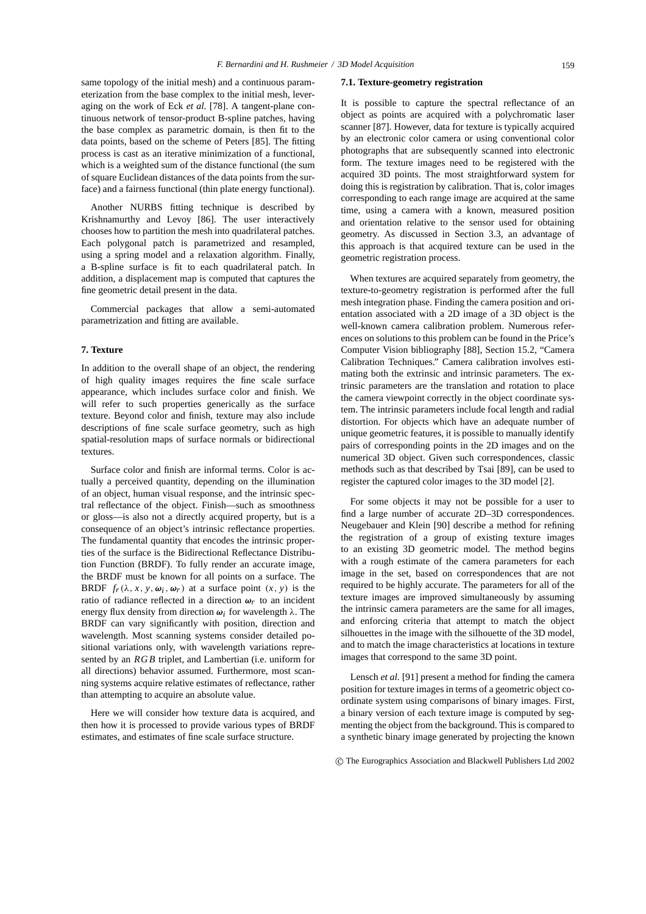same topology of the initial mesh) and a continuous parameterization from the base complex to the initial mesh, leveraging on the work of Eck *et al.* [78]. A tangent-plane continuous network of tensor-product B-spline patches, having the base complex as parametric domain, is then fit to the data points, based on the scheme of Peters [85]. The fitting process is cast as an iterative minimization of a functional, which is a weighted sum of the distance functional (the sum of square Euclidean distances of the data points from the surface) and a fairness functional (thin plate energy functional).

Another NURBS fitting technique is described by Krishnamurthy and Levoy [86]. The user interactively chooses how to partition the mesh into quadrilateral patches. Each polygonal patch is parametrized and resampled, using a spring model and a relaxation algorithm. Finally, a B-spline surface is fit to each quadrilateral patch. In addition, a displacement map is computed that captures the fine geometric detail present in the data.

Commercial packages that allow a semi-automated parametrization and fitting are available.

# **7. Texture**

In addition to the overall shape of an object, the rendering of high quality images requires the fine scale surface appearance, which includes surface color and finish. We will refer to such properties generically as the surface texture. Beyond color and finish, texture may also include descriptions of fine scale surface geometry, such as high spatial-resolution maps of surface normals or bidirectional textures.

Surface color and finish are informal terms. Color is actually a perceived quantity, depending on the illumination of an object, human visual response, and the intrinsic spectral reflectance of the object. Finish—such as smoothness or gloss—is also not a directly acquired property, but is a consequence of an object's intrinsic reflectance properties. The fundamental quantity that encodes the intrinsic properties of the surface is the Bidirectional Reflectance Distribution Function (BRDF). To fully render an accurate image, the BRDF must be known for all points on a surface. The BRDF  $f_r(\lambda, x, y, \omega_i, \omega_r)$  at a surface point  $(x, y)$  is the ratio of radiance reflected in a direction  $\omega_r$  to an incident energy flux density from direction  $\omega_i$  for wavelength  $\lambda$ . The BRDF can vary significantly with position, direction and wavelength. Most scanning systems consider detailed positional variations only, with wavelength variations represented by an *RGB* triplet, and Lambertian (i.e. uniform for all directions) behavior assumed. Furthermore, most scanning systems acquire relative estimates of reflectance, rather than attempting to acquire an absolute value.

Here we will consider how texture data is acquired, and then how it is processed to provide various types of BRDF estimates, and estimates of fine scale surface structure.

# **7.1. Texture-geometry registration**

It is possible to capture the spectral reflectance of an object as points are acquired with a polychromatic laser scanner [87]. However, data for texture is typically acquired by an electronic color camera or using conventional color photographs that are subsequently scanned into electronic form. The texture images need to be registered with the acquired 3D points. The most straightforward system for doing this is registration by calibration. That is, color images corresponding to each range image are acquired at the same time, using a camera with a known, measured position and orientation relative to the sensor used for obtaining geometry. As discussed in Section 3.3, an advantage of this approach is that acquired texture can be used in the geometric registration process.

When textures are acquired separately from geometry, the texture-to-geometry registration is performed after the full mesh integration phase. Finding the camera position and orientation associated with a 2D image of a 3D object is the well-known camera calibration problem. Numerous references on solutions to this problem can be found in the Price's Computer Vision bibliography [88], Section 15.2, "Camera Calibration Techniques." Camera calibration involves estimating both the extrinsic and intrinsic parameters. The extrinsic parameters are the translation and rotation to place the camera viewpoint correctly in the object coordinate system. The intrinsic parameters include focal length and radial distortion. For objects which have an adequate number of unique geometric features, it is possible to manually identify pairs of corresponding points in the 2D images and on the numerical 3D object. Given such correspondences, classic methods such as that described by Tsai [89], can be used to register the captured color images to the 3D model [2].

For some objects it may not be possible for a user to find a large number of accurate 2D–3D correspondences. Neugebauer and Klein [90] describe a method for refining the registration of a group of existing texture images to an existing 3D geometric model. The method begins with a rough estimate of the camera parameters for each image in the set, based on correspondences that are not required to be highly accurate. The parameters for all of the texture images are improved simultaneously by assuming the intrinsic camera parameters are the same for all images, and enforcing criteria that attempt to match the object silhouettes in the image with the silhouette of the 3D model, and to match the image characteristics at locations in texture images that correspond to the same 3D point.

Lensch *et al.* [91] present a method for finding the camera position for texture images in terms of a geometric object coordinate system using comparisons of binary images. First, a binary version of each texture image is computed by segmenting the object from the background. This is compared to a synthetic binary image generated by projecting the known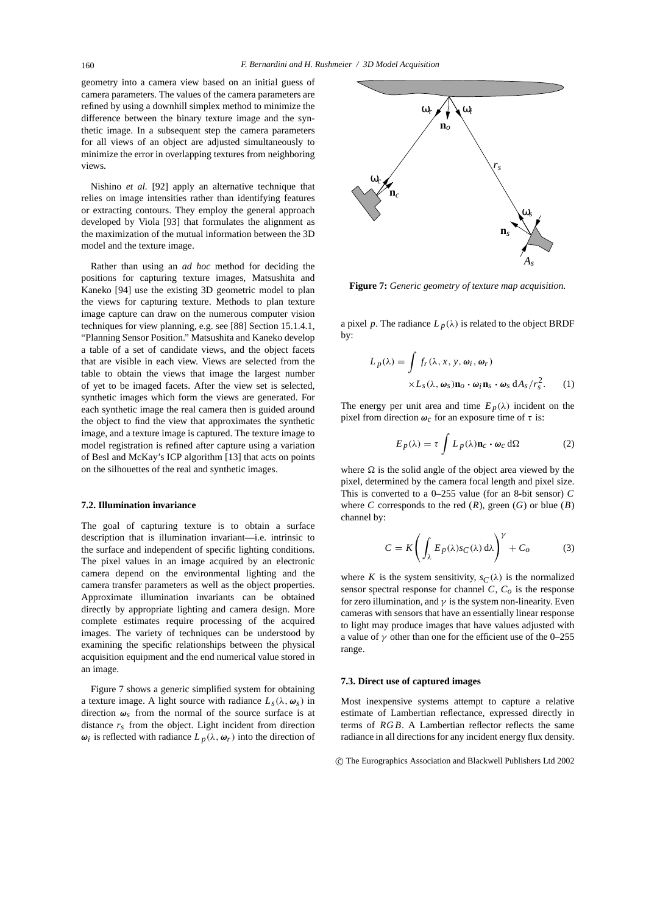geometry into a camera view based on an initial guess of camera parameters. The values of the camera parameters are refined by using a downhill simplex method to minimize the difference between the binary texture image and the synthetic image. In a subsequent step the camera parameters for all views of an object are adjusted simultaneously to minimize the error in overlapping textures from neighboring views.

Nishino *et al.* [92] apply an alternative technique that relies on image intensities rather than identifying features or extracting contours. They employ the general approach developed by Viola [93] that formulates the alignment as the maximization of the mutual information between the 3D model and the texture image.

Rather than using an *ad hoc* method for deciding the positions for capturing texture images, Matsushita and Kaneko [94] use the existing 3D geometric model to plan the views for capturing texture. Methods to plan texture image capture can draw on the numerous computer vision techniques for view planning, e.g. see [88] Section 15.1.4.1, "Planning Sensor Position." Matsushita and Kaneko develop a table of a set of candidate views, and the object facets that are visible in each view. Views are selected from the table to obtain the views that image the largest number of yet to be imaged facets. After the view set is selected, synthetic images which form the views are generated. For each synthetic image the real camera then is guided around the object to find the view that approximates the synthetic image, and a texture image is captured. The texture image to model registration is refined after capture using a variation of Besl and McKay's ICP algorithm [13] that acts on points on the silhouettes of the real and synthetic images.

## **7.2. Illumination invariance**

The goal of capturing texture is to obtain a surface description that is illumination invariant—i.e. intrinsic to the surface and independent of specific lighting conditions. The pixel values in an image acquired by an electronic camera depend on the environmental lighting and the camera transfer parameters as well as the object properties. Approximate illumination invariants can be obtained directly by appropriate lighting and camera design. More complete estimates require processing of the acquired images. The variety of techniques can be understood by examining the specific relationships between the physical acquisition equipment and the end numerical value stored in an image.

Figure 7 shows a generic simplified system for obtaining a texture image. A light source with radiance  $L_s(\lambda, \omega_s)$  in direction  $\omega_s$  from the normal of the source surface is at distance *rs* from the object. Light incident from direction *ωi* is reflected with radiance  $L_p(\lambda, \omega_r)$  into the direction of



**Figure 7:** *Generic geometry of texture map acquisition.*

a pixel *p*. The radiance  $L_p(\lambda)$  is related to the object BRDF by:

$$
L_p(\lambda) = \int f_r(\lambda, x, y, \omega_i, \omega_r)
$$
  
 
$$
\times L_s(\lambda, \omega_s) \mathbf{n}_o \cdot \omega_i \mathbf{n}_s \cdot \omega_s \, dA_s / r_s^2.
$$
 (1)

The energy per unit area and time  $E_p(\lambda)$  incident on the pixel from direction  $\omega_c$  for an exposure time of  $\tau$  is:

$$
E_p(\lambda) = \tau \int L_p(\lambda) \mathbf{n}_c \cdot \boldsymbol{\omega}_c \, d\Omega \tag{2}
$$

where  $\Omega$  is the solid angle of the object area viewed by the pixel, determined by the camera focal length and pixel size. This is converted to a 0–255 value (for an 8-bit sensor) *C* where *C* corresponds to the red  $(R)$ , green  $(G)$  or blue  $(B)$ channel by:

$$
C = K \left( \int_{\lambda} E_p(\lambda) s_C(\lambda) d\lambda \right)^{\gamma} + C_o \tag{3}
$$

where *K* is the system sensitivity,  $s_C(\lambda)$  is the normalized sensor spectral response for channel  $C$ ,  $C<sub>o</sub>$  is the response for zero illumination, and  $\gamma$  is the system non-linearity. Even cameras with sensors that have an essentially linear response to light may produce images that have values adjusted with a value of  $\gamma$  other than one for the efficient use of the 0–255 range.

#### **7.3. Direct use of captured images**

Most inexpensive systems attempt to capture a relative estimate of Lambertian reflectance, expressed directly in terms of *RGB*. A Lambertian reflector reflects the same radiance in all directions for any incident energy flux density.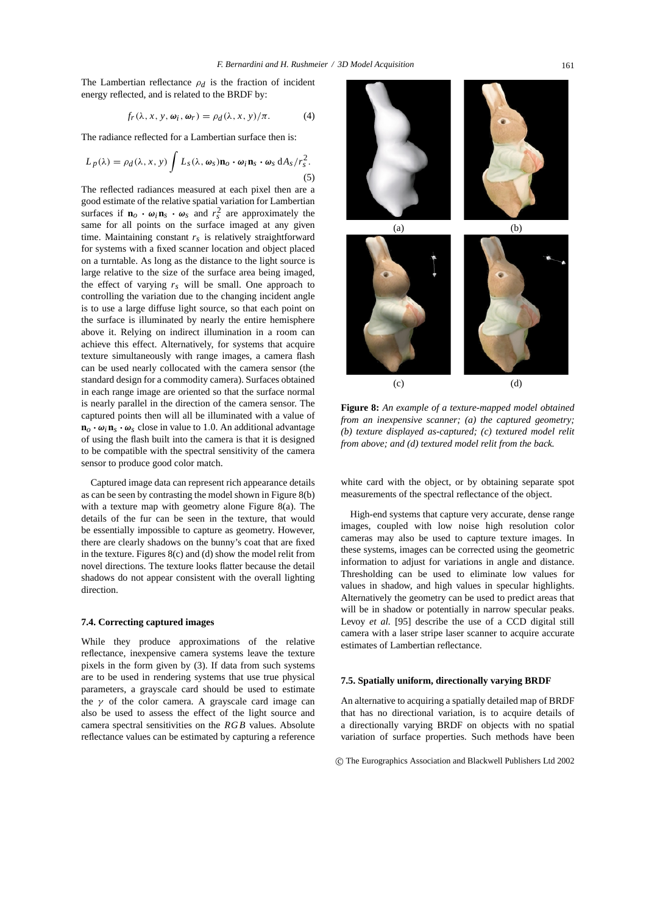The Lambertian reflectance  $\rho_d$  is the fraction of incident energy reflected, and is related to the BRDF by:

$$
f_r(\lambda, x, y, \omega_i, \omega_r) = \rho_d(\lambda, x, y)/\pi.
$$
 (4)

The radiance reflected for a Lambertian surface then is:

$$
L_p(\lambda) = \rho_d(\lambda, x, y) \int L_s(\lambda, \omega_s) \mathbf{n}_o \cdot \omega_i \mathbf{n}_s \cdot \omega_s dA_s / r_s^2.
$$
\n(5)

The reflected radiances measured at each pixel then are a good estimate of the relative spatial variation for Lambertian surfaces if  $\mathbf{n}_o \cdot \boldsymbol{\omega}_i \mathbf{n}_s \cdot \boldsymbol{\omega}_s$  and  $r_s^2$  are approximately the same for all points on the surface imaged at any given time. Maintaining constant  $r<sub>s</sub>$  is relatively straightforward for systems with a fixed scanner location and object placed on a turntable. As long as the distance to the light source is large relative to the size of the surface area being imaged, the effect of varying  $r_s$  will be small. One approach to controlling the variation due to the changing incident angle is to use a large diffuse light source, so that each point on the surface is illuminated by nearly the entire hemisphere above it. Relying on indirect illumination in a room can achieve this effect. Alternatively, for systems that acquire texture simultaneously with range images, a camera flash can be used nearly collocated with the camera sensor (the standard design for a commodity camera). Surfaces obtained in each range image are oriented so that the surface normal is nearly parallel in the direction of the camera sensor. The captured points then will all be illuminated with a value of  $\mathbf{n}_o \cdot \mathbf{\omega}_i \mathbf{n}_s \cdot \mathbf{\omega}_s$  close in value to 1.0. An additional advantage of using the flash built into the camera is that it is designed to be compatible with the spectral sensitivity of the camera sensor to produce good color match.

Captured image data can represent rich appearance details as can be seen by contrasting the model shown in Figure 8(b) with a texture map with geometry alone Figure 8(a). The details of the fur can be seen in the texture, that would be essentially impossible to capture as geometry. However, there are clearly shadows on the bunny's coat that are fixed in the texture. Figures 8(c) and (d) show the model relit from novel directions. The texture looks flatter because the detail shadows do not appear consistent with the overall lighting direction.

## **7.4. Correcting captured images**

While they produce approximations of the relative reflectance, inexpensive camera systems leave the texture pixels in the form given by (3). If data from such systems are to be used in rendering systems that use true physical parameters, a grayscale card should be used to estimate the  $\gamma$  of the color camera. A grayscale card image can also be used to assess the effect of the light source and camera spectral sensitivities on the *RGB* values. Absolute reflectance values can be estimated by capturing a reference  $(a)$  (b)  $\qquad \qquad \textbf{(c)}\qquad \qquad \textbf{(d)}$ 

**Figure 8:** *An example of a texture-mapped model obtained from an inexpensive scanner; (a) the captured geometry; (b) texture displayed as-captured; (c) textured model relit from above; and (d) textured model relit from the back.*

white card with the object, or by obtaining separate spot measurements of the spectral reflectance of the object.

High-end systems that capture very accurate, dense range images, coupled with low noise high resolution color cameras may also be used to capture texture images. In these systems, images can be corrected using the geometric information to adjust for variations in angle and distance. Thresholding can be used to eliminate low values for values in shadow, and high values in specular highlights. Alternatively the geometry can be used to predict areas that will be in shadow or potentially in narrow specular peaks. Levoy *et al.* [95] describe the use of a CCD digital still camera with a laser stripe laser scanner to acquire accurate estimates of Lambertian reflectance.

#### **7.5. Spatially uniform, directionally varying BRDF**

An alternative to acquiring a spatially detailed map of BRDF that has no directional variation, is to acquire details of a directionally varying BRDF on objects with no spatial variation of surface properties. Such methods have been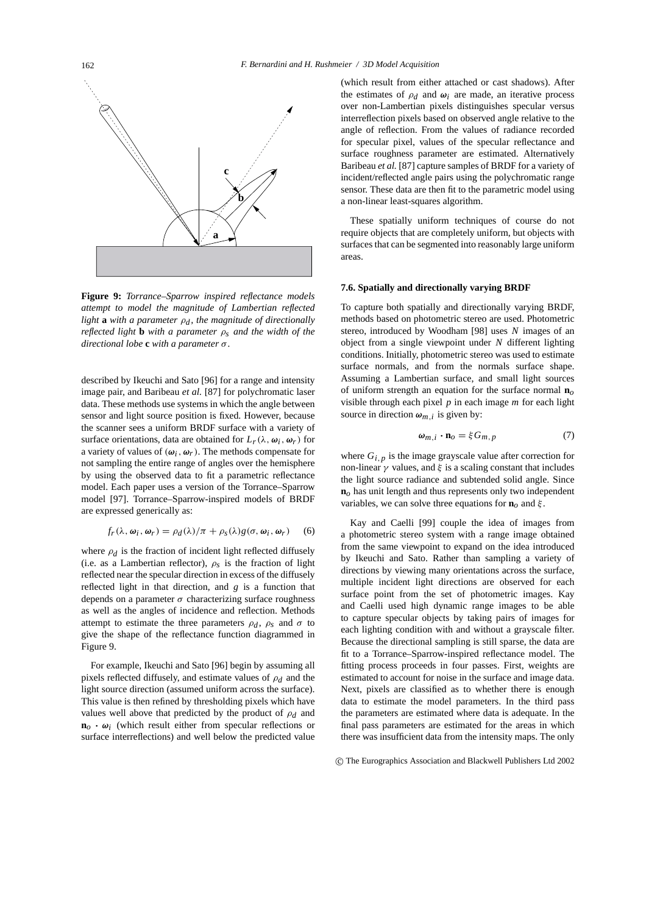

**Figure 9:** *Torrance–Sparrow inspired reflectance models attempt to model the magnitude of Lambertian reflected light* **a** *with a parameter*  $\rho_d$ *, the magnitude of directionally reflected light* **b** *with a parameter* ρ*s and the width of the directional lobe* **c** *with a parameter* σ*.*

described by Ikeuchi and Sato [96] for a range and intensity image pair, and Baribeau *et al.* [87] for polychromatic laser data. These methods use systems in which the angle between sensor and light source position is fixed. However, because the scanner sees a uniform BRDF surface with a variety of surface orientations, data are obtained for  $L_r(\lambda, \omega_i, \omega_r)$  for a variety of values of  $(\omega_i, \omega_r)$ . The methods compensate for not sampling the entire range of angles over the hemisphere by using the observed data to fit a parametric reflectance model. Each paper uses a version of the Torrance–Sparrow model [97]. Torrance–Sparrow-inspired models of BRDF are expressed generically as:

$$
f_r(\lambda, \omega_i, \omega_r) = \rho_d(\lambda)/\pi + \rho_s(\lambda)g(\sigma, \omega_i, \omega_r) \quad (6)
$$

where  $\rho_d$  is the fraction of incident light reflected diffusely (i.e. as a Lambertian reflector),  $\rho_s$  is the fraction of light reflected near the specular direction in excess of the diffusely reflected light in that direction, and *g* is a function that depends on a parameter  $\sigma$  characterizing surface roughness as well as the angles of incidence and reflection. Methods attempt to estimate the three parameters  $\rho_d$ ,  $\rho_s$  and  $\sigma$  to give the shape of the reflectance function diagrammed in Figure 9.

For example, Ikeuchi and Sato [96] begin by assuming all pixels reflected diffusely, and estimate values of ρ*d* and the light source direction (assumed uniform across the surface). This value is then refined by thresholding pixels which have values well above that predicted by the product of ρ*d* and  $\mathbf{n}_o \cdot \mathbf{\omega}_i$  (which result either from specular reflections or surface interreflections) and well below the predicted value (which result from either attached or cast shadows). After the estimates of  $\rho_d$  and  $\omega_i$  are made, an iterative process over non-Lambertian pixels distinguishes specular versus interreflection pixels based on observed angle relative to the angle of reflection. From the values of radiance recorded for specular pixel, values of the specular reflectance and surface roughness parameter are estimated. Alternatively Baribeau *et al.* [87] capture samples of BRDF for a variety of incident/reflected angle pairs using the polychromatic range sensor. These data are then fit to the parametric model using a non-linear least-squares algorithm.

These spatially uniform techniques of course do not require objects that are completely uniform, but objects with surfaces that can be segmented into reasonably large uniform areas.

#### **7.6. Spatially and directionally varying BRDF**

To capture both spatially and directionally varying BRDF, methods based on photometric stereo are used. Photometric stereo, introduced by Woodham [98] uses *N* images of an object from a single viewpoint under *N* different lighting conditions. Initially, photometric stereo was used to estimate surface normals, and from the normals surface shape. Assuming a Lambertian surface, and small light sources of uniform strength an equation for the surface normal **n***o* visible through each pixel *p* in each image *m* for each light source in direction  $\omega_{m,i}$  is given by:

$$
\boldsymbol{\omega}_{m,i} \cdot \mathbf{n}_o = \xi G_{m,p} \tag{7}
$$

where  $G_{i,p}$  is the image grayscale value after correction for non-linear  $\gamma$  values, and  $\xi$  is a scaling constant that includes the light source radiance and subtended solid angle. Since **n***o* has unit length and thus represents only two independent variables, we can solve three equations for **n***o* and ξ .

Kay and Caelli [99] couple the idea of images from a photometric stereo system with a range image obtained from the same viewpoint to expand on the idea introduced by Ikeuchi and Sato. Rather than sampling a variety of directions by viewing many orientations across the surface, multiple incident light directions are observed for each surface point from the set of photometric images. Kay and Caelli used high dynamic range images to be able to capture specular objects by taking pairs of images for each lighting condition with and without a grayscale filter. Because the directional sampling is still sparse, the data are fit to a Torrance–Sparrow-inspired reflectance model. The fitting process proceeds in four passes. First, weights are estimated to account for noise in the surface and image data. Next, pixels are classified as to whether there is enough data to estimate the model parameters. In the third pass the parameters are estimated where data is adequate. In the final pass parameters are estimated for the areas in which there was insufficient data from the intensity maps. The only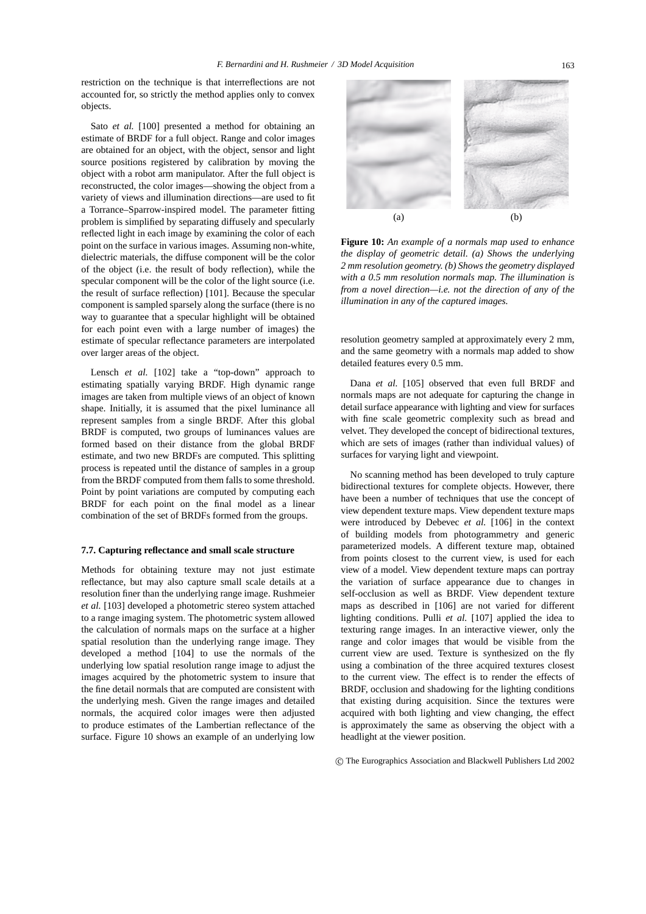restriction on the technique is that interreflections are not accounted for, so strictly the method applies only to convex objects.

Sato *et al.* [100] presented a method for obtaining an estimate of BRDF for a full object. Range and color images are obtained for an object, with the object, sensor and light source positions registered by calibration by moving the object with a robot arm manipulator. After the full object is reconstructed, the color images—showing the object from a variety of views and illumination directions—are used to fit a Torrance–Sparrow-inspired model. The parameter fitting problem is simplified by separating diffusely and specularly reflected light in each image by examining the color of each point on the surface in various images. Assuming non-white, dielectric materials, the diffuse component will be the color of the object (i.e. the result of body reflection), while the specular component will be the color of the light source (i.e. the result of surface reflection) [101]. Because the specular component is sampled sparsely along the surface (there is no way to guarantee that a specular highlight will be obtained for each point even with a large number of images) the estimate of specular reflectance parameters are interpolated over larger areas of the object.

Lensch *et al.* [102] take a "top-down" approach to estimating spatially varying BRDF. High dynamic range images are taken from multiple views of an object of known shape. Initially, it is assumed that the pixel luminance all represent samples from a single BRDF. After this global BRDF is computed, two groups of luminances values are formed based on their distance from the global BRDF estimate, and two new BRDFs are computed. This splitting process is repeated until the distance of samples in a group from the BRDF computed from them falls to some threshold. Point by point variations are computed by computing each BRDF for each point on the final model as a linear combination of the set of BRDFs formed from the groups.

#### **7.7. Capturing reflectance and small scale structure**

Methods for obtaining texture may not just estimate reflectance, but may also capture small scale details at a resolution finer than the underlying range image. Rushmeier *et al.* [103] developed a photometric stereo system attached to a range imaging system. The photometric system allowed the calculation of normals maps on the surface at a higher spatial resolution than the underlying range image. They developed a method [104] to use the normals of the underlying low spatial resolution range image to adjust the images acquired by the photometric system to insure that the fine detail normals that are computed are consistent with the underlying mesh. Given the range images and detailed normals, the acquired color images were then adjusted to produce estimates of the Lambertian reflectance of the surface. Figure 10 shows an example of an underlying low



**Figure 10:** *An example of a normals map used to enhance the display of geometric detail. (a) Shows the underlying 2 mm resolution geometry. (b) Shows the geometry displayed with a 0.5 mm resolution normals map. The illumination is from a novel direction—i.e. not the direction of any of the illumination in any of the captured images.*

resolution geometry sampled at approximately every 2 mm, and the same geometry with a normals map added to show detailed features every 0.5 mm.

Dana *et al.* [105] observed that even full BRDF and normals maps are not adequate for capturing the change in detail surface appearance with lighting and view for surfaces with fine scale geometric complexity such as bread and velvet. They developed the concept of bidirectional textures, which are sets of images (rather than individual values) of surfaces for varying light and viewpoint.

No scanning method has been developed to truly capture bidirectional textures for complete objects. However, there have been a number of techniques that use the concept of view dependent texture maps. View dependent texture maps were introduced by Debevec *et al.* [106] in the context of building models from photogrammetry and generic parameterized models. A different texture map, obtained from points closest to the current view, is used for each view of a model. View dependent texture maps can portray the variation of surface appearance due to changes in self-occlusion as well as BRDF. View dependent texture maps as described in [106] are not varied for different lighting conditions. Pulli *et al.* [107] applied the idea to texturing range images. In an interactive viewer, only the range and color images that would be visible from the current view are used. Texture is synthesized on the fly using a combination of the three acquired textures closest to the current view. The effect is to render the effects of BRDF, occlusion and shadowing for the lighting conditions that existing during acquisition. Since the textures were acquired with both lighting and view changing, the effect is approximately the same as observing the object with a headlight at the viewer position.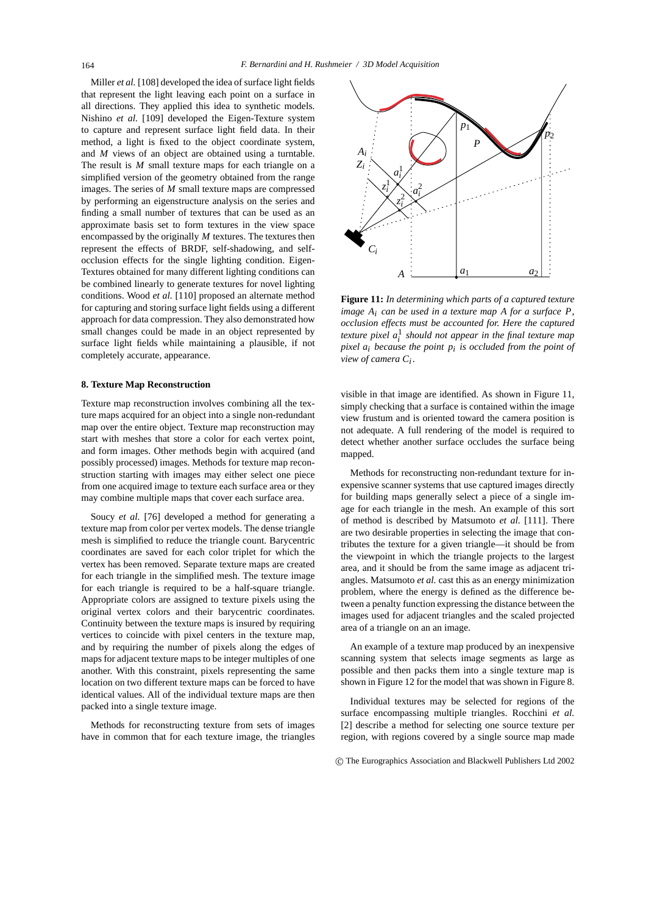Miller *et al.* [108] developed the idea of surface light fields that represent the light leaving each point on a surface in all directions. They applied this idea to synthetic models. Nishino *et al.* [109] developed the Eigen-Texture system to capture and represent surface light field data. In their method, a light is fixed to the object coordinate system, and *M* views of an object are obtained using a turntable. The result is *M* small texture maps for each triangle on a simplified version of the geometry obtained from the range images. The series of *M* small texture maps are compressed by performing an eigenstructure analysis on the series and finding a small number of textures that can be used as an approximate basis set to form textures in the view space encompassed by the originally *M* textures. The textures then represent the effects of BRDF, self-shadowing, and selfocclusion effects for the single lighting condition. Eigen-Textures obtained for many different lighting conditions can be combined linearly to generate textures for novel lighting conditions. Wood *et al.* [110] proposed an alternate method for capturing and storing surface light fields using a different approach for data compression. They also demonstrated how small changes could be made in an object represented by surface light fields while maintaining a plausible, if not completely accurate, appearance.

## **8. Texture Map Reconstruction**

Texture map reconstruction involves combining all the texture maps acquired for an object into a single non-redundant map over the entire object. Texture map reconstruction may start with meshes that store a color for each vertex point, and form images. Other methods begin with acquired (and possibly processed) images. Methods for texture map reconstruction starting with images may either select one piece from one acquired image to texture each surface area or they may combine multiple maps that cover each surface area.

Soucy *et al.* [76] developed a method for generating a texture map from color per vertex models. The dense triangle mesh is simplified to reduce the triangle count. Barycentric coordinates are saved for each color triplet for which the vertex has been removed. Separate texture maps are created for each triangle in the simplified mesh. The texture image for each triangle is required to be a half-square triangle. Appropriate colors are assigned to texture pixels using the original vertex colors and their barycentric coordinates. Continuity between the texture maps is insured by requiring vertices to coincide with pixel centers in the texture map, and by requiring the number of pixels along the edges of maps for adjacent texture maps to be integer multiples of one another. With this constraint, pixels representing the same location on two different texture maps can be forced to have identical values. All of the individual texture maps are then packed into a single texture image.

Methods for reconstructing texture from sets of images have in common that for each texture image, the triangles



**Figure 11:** *In determining which parts of a captured texture image Ai can be used in a texture map A for a surface P, occlusion effects must be accounted for. Here the captured texture pixel a*<sup>1</sup> *<sup>i</sup> should not appear in the final texture map pixel ai because the point pi is occluded from the point of view of camera Ci .*

visible in that image are identified. As shown in Figure 11, simply checking that a surface is contained within the image view frustum and is oriented toward the camera position is not adequate. A full rendering of the model is required to detect whether another surface occludes the surface being mapped.

Methods for reconstructing non-redundant texture for inexpensive scanner systems that use captured images directly for building maps generally select a piece of a single image for each triangle in the mesh. An example of this sort of method is described by Matsumoto *et al.* [111]. There are two desirable properties in selecting the image that contributes the texture for a given triangle—it should be from the viewpoint in which the triangle projects to the largest area, and it should be from the same image as adjacent triangles. Matsumoto *et al.* cast this as an energy minimization problem, where the energy is defined as the difference between a penalty function expressing the distance between the images used for adjacent triangles and the scaled projected area of a triangle on an an image.

An example of a texture map produced by an inexpensive scanning system that selects image segments as large as possible and then packs them into a single texture map is shown in Figure 12 for the model that was shown in Figure 8.

Individual textures may be selected for regions of the surface encompassing multiple triangles. Rocchini *et al.* [2] describe a method for selecting one source texture per region, with regions covered by a single source map made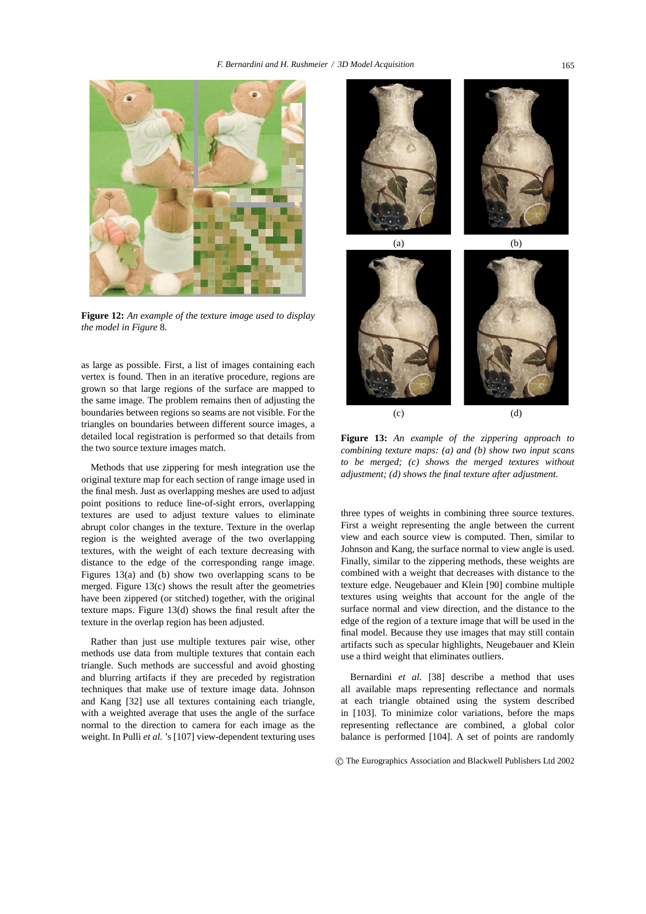

**Figure 12:** *An example of the texture image used to display the model in Figure* 8*.*

as large as possible. First, a list of images containing each vertex is found. Then in an iterative procedure, regions are grown so that large regions of the surface are mapped to the same image. The problem remains then of adjusting the boundaries between regions so seams are not visible. For the triangles on boundaries between different source images, a detailed local registration is performed so that details from the two source texture images match.

Methods that use zippering for mesh integration use the original texture map for each section of range image used in the final mesh. Just as overlapping meshes are used to adjust point positions to reduce line-of-sight errors, overlapping textures are used to adjust texture values to eliminate abrupt color changes in the texture. Texture in the overlap region is the weighted average of the two overlapping textures, with the weight of each texture decreasing with distance to the edge of the corresponding range image. Figures 13(a) and (b) show two overlapping scans to be merged. Figure 13(c) shows the result after the geometries have been zippered (or stitched) together, with the original texture maps. Figure 13(d) shows the final result after the texture in the overlap region has been adjusted.

Rather than just use multiple textures pair wise, other methods use data from multiple textures that contain each triangle. Such methods are successful and avoid ghosting and blurring artifacts if they are preceded by registration techniques that make use of texture image data. Johnson and Kang [32] use all textures containing each triangle, with a weighted average that uses the angle of the surface normal to the direction to camera for each image as the weight. In Pulli *et al.* 's [107] view-dependent texturing uses



**Figure 13:** *An example of the zippering approach to combining texture maps: (a) and (b) show two input scans to be merged; (c) shows the merged textures without adjustment; (d) shows the final texture after adjustment.*

three types of weights in combining three source textures. First a weight representing the angle between the current view and each source view is computed. Then, similar to Johnson and Kang, the surface normal to view angle is used. Finally, similar to the zippering methods, these weights are combined with a weight that decreases with distance to the texture edge. Neugebauer and Klein [90] combine multiple textures using weights that account for the angle of the surface normal and view direction, and the distance to the edge of the region of a texture image that will be used in the final model. Because they use images that may still contain artifacts such as specular highlights, Neugebauer and Klein use a third weight that eliminates outliers.

Bernardini *et al.* [38] describe a method that uses all available maps representing reflectance and normals at each triangle obtained using the system described in [103]. To minimize color variations, before the maps representing reflectance are combined, a global color balance is performed [104]. A set of points are randomly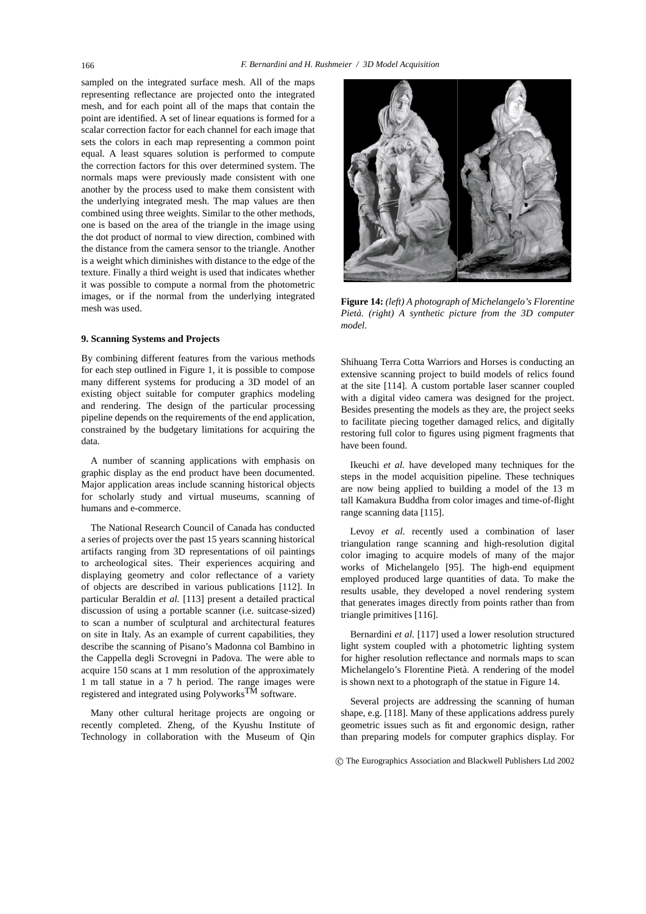sampled on the integrated surface mesh. All of the maps representing reflectance are projected onto the integrated mesh, and for each point all of the maps that contain the point are identified. A set of linear equations is formed for a scalar correction factor for each channel for each image that sets the colors in each map representing a common point equal. A least squares solution is performed to compute the correction factors for this over determined system. The normals maps were previously made consistent with one another by the process used to make them consistent with the underlying integrated mesh. The map values are then combined using three weights. Similar to the other methods, one is based on the area of the triangle in the image using the dot product of normal to view direction, combined with the distance from the camera sensor to the triangle. Another is a weight which diminishes with distance to the edge of the texture. Finally a third weight is used that indicates whether it was possible to compute a normal from the photometric images, or if the normal from the underlying integrated mesh was used.

# **9. Scanning Systems and Projects**

By combining different features from the various methods for each step outlined in Figure 1, it is possible to compose many different systems for producing a 3D model of an existing object suitable for computer graphics modeling and rendering. The design of the particular processing pipeline depends on the requirements of the end application, constrained by the budgetary limitations for acquiring the data.

A number of scanning applications with emphasis on graphic display as the end product have been documented. Major application areas include scanning historical objects for scholarly study and virtual museums, scanning of humans and e-commerce.

The National Research Council of Canada has conducted a series of projects over the past 15 years scanning historical artifacts ranging from 3D representations of oil paintings to archeological sites. Their experiences acquiring and displaying geometry and color reflectance of a variety of objects are described in various publications [112]. In particular Beraldin *et al.* [113] present a detailed practical discussion of using a portable scanner (i.e. suitcase-sized) to scan a number of sculptural and architectural features on site in Italy. As an example of current capabilities, they describe the scanning of Pisano's Madonna col Bambino in the Cappella degli Scrovegni in Padova. The were able to acquire 150 scans at 1 mm resolution of the approximately 1 m tall statue in a 7 h period. The range images were registered and integrated using PolyworksTM software.

Many other cultural heritage projects are ongoing or recently completed. Zheng, of the Kyushu Institute of Technology in collaboration with the Museum of Qin



**Figure 14:** *(left) A photograph of Michelangelo's Florentine Pieta. (right) A synthetic picture from the 3D computer ` model.*

Shihuang Terra Cotta Warriors and Horses is conducting an extensive scanning project to build models of relics found at the site [114]. A custom portable laser scanner coupled with a digital video camera was designed for the project. Besides presenting the models as they are, the project seeks to facilitate piecing together damaged relics, and digitally restoring full color to figures using pigment fragments that have been found.

Ikeuchi *et al.* have developed many techniques for the steps in the model acquisition pipeline. These techniques are now being applied to building a model of the 13 m tall Kamakura Buddha from color images and time-of-flight range scanning data [115].

Levoy *et al.* recently used a combination of laser triangulation range scanning and high-resolution digital color imaging to acquire models of many of the major works of Michelangelo [95]. The high-end equipment employed produced large quantities of data. To make the results usable, they developed a novel rendering system that generates images directly from points rather than from triangle primitives [116].

Bernardini *et al.* [117] used a lower resolution structured light system coupled with a photometric lighting system for higher resolution reflectance and normals maps to scan Michelangelo's Florentine Pieta. A rendering of the model ` is shown next to a photograph of the statue in Figure 14.

Several projects are addressing the scanning of human shape, e.g. [118]. Many of these applications address purely geometric issues such as fit and ergonomic design, rather than preparing models for computer graphics display. For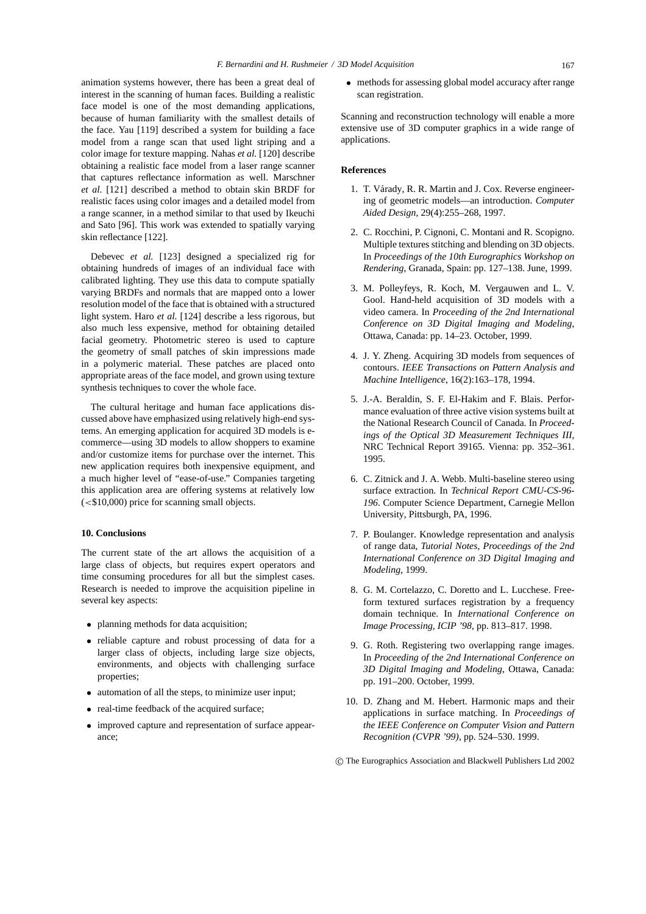animation systems however, there has been a great deal of interest in the scanning of human faces. Building a realistic face model is one of the most demanding applications, because of human familiarity with the smallest details of the face. Yau [119] described a system for building a face model from a range scan that used light striping and a color image for texture mapping. Nahas *et al.* [120] describe obtaining a realistic face model from a laser range scanner that captures reflectance information as well. Marschner *et al.* [121] described a method to obtain skin BRDF for realistic faces using color images and a detailed model from a range scanner, in a method similar to that used by Ikeuchi and Sato [96]. This work was extended to spatially varying skin reflectance [122].

Debevec *et al.* [123] designed a specialized rig for obtaining hundreds of images of an individual face with calibrated lighting. They use this data to compute spatially varying BRDFs and normals that are mapped onto a lower resolution model of the face that is obtained with a structured light system. Haro *et al.* [124] describe a less rigorous, but also much less expensive, method for obtaining detailed facial geometry. Photometric stereo is used to capture the geometry of small patches of skin impressions made in a polymeric material. These patches are placed onto appropriate areas of the face model, and grown using texture synthesis techniques to cover the whole face.

The cultural heritage and human face applications discussed above have emphasized using relatively high-end systems. An emerging application for acquired 3D models is ecommerce—using 3D models to allow shoppers to examine and/or customize items for purchase over the internet. This new application requires both inexpensive equipment, and a much higher level of "ease-of-use." Companies targeting this application area are offering systems at relatively low  $\langle$  <\$10,000) price for scanning small objects.

## **10. Conclusions**

The current state of the art allows the acquisition of a large class of objects, but requires expert operators and time consuming procedures for all but the simplest cases. Research is needed to improve the acquisition pipeline in several key aspects:

- planning methods for data acquisition;
- reliable capture and robust processing of data for a larger class of objects, including large size objects, environments, and objects with challenging surface properties;
- automation of all the steps, to minimize user input;
- real-time feedback of the acquired surface;
- improved capture and representation of surface appearance;

• methods for assessing global model accuracy after range scan registration.

Scanning and reconstruction technology will enable a more extensive use of 3D computer graphics in a wide range of applications.

## **References**

- 1. T. Várady, R. R. Martin and J. Cox. Reverse engineering of geometric models—an introduction. *Computer Aided Design*, 29(4):255–268, 1997.
- 2. C. Rocchini, P. Cignoni, C. Montani and R. Scopigno. Multiple textures stitching and blending on 3D objects. In *Proceedings of the 10th Eurographics Workshop on Rendering*, Granada, Spain: pp. 127–138. June, 1999.
- 3. M. Polleyfeys, R. Koch, M. Vergauwen and L. V. Gool. Hand-held acquisition of 3D models with a video camera. In *Proceeding of the 2nd International Conference on 3D Digital Imaging and Modeling*, Ottawa, Canada: pp. 14–23. October, 1999.
- 4. J. Y. Zheng. Acquiring 3D models from sequences of contours. *IEEE Transactions on Pattern Analysis and Machine Intelligence*, 16(2):163–178, 1994.
- 5. J.-A. Beraldin, S. F. El-Hakim and F. Blais. Performance evaluation of three active vision systems built at the National Research Council of Canada. In *Proceedings of the Optical 3D Measurement Techniques III*, NRC Technical Report 39165. Vienna: pp. 352–361. 1995.
- 6. C. Zitnick and J. A. Webb. Multi-baseline stereo using surface extraction. In *Technical Report CMU-CS-96- 196*. Computer Science Department, Carnegie Mellon University, Pittsburgh, PA, 1996.
- 7. P. Boulanger. Knowledge representation and analysis of range data, *Tutorial Notes, Proceedings of the 2nd International Conference on 3D Digital Imaging and Modeling*, 1999.
- 8. G. M. Cortelazzo, C. Doretto and L. Lucchese. Freeform textured surfaces registration by a frequency domain technique. In *International Conference on Image Processing, ICIP '98*, pp. 813–817. 1998.
- 9. G. Roth. Registering two overlapping range images. In *Proceeding of the 2nd International Conference on 3D Digital Imaging and Modeling*, Ottawa, Canada: pp. 191–200. October, 1999.
- 10. D. Zhang and M. Hebert. Harmonic maps and their applications in surface matching. In *Proceedings of the IEEE Conference on Computer Vision and Pattern Recognition (CVPR '99)*, pp. 524–530. 1999.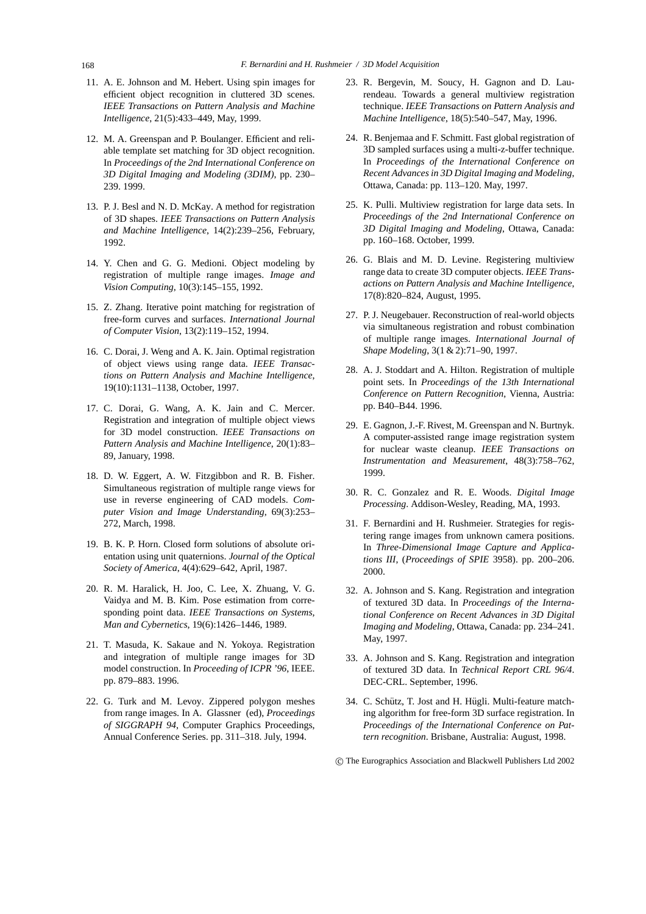- 11. A. E. Johnson and M. Hebert. Using spin images for efficient object recognition in cluttered 3D scenes. *IEEE Transactions on Pattern Analysis and Machine Intelligence*, 21(5):433–449, May, 1999.
- 12. M. A. Greenspan and P. Boulanger. Efficient and reliable template set matching for 3D object recognition. In *Proceedings of the 2nd International Conference on 3D Digital Imaging and Modeling (3DIM)*, pp. 230– 239. 1999.
- 13. P. J. Besl and N. D. McKay. A method for registration of 3D shapes. *IEEE Transactions on Pattern Analysis and Machine Intelligence*, 14(2):239–256, February, 1992.
- 14. Y. Chen and G. G. Medioni. Object modeling by registration of multiple range images. *Image and Vision Computing*, 10(3):145–155, 1992.
- 15. Z. Zhang. Iterative point matching for registration of free-form curves and surfaces. *International Journal of Computer Vision*, 13(2):119–152, 1994.
- 16. C. Dorai, J. Weng and A. K. Jain. Optimal registration of object views using range data. *IEEE Transactions on Pattern Analysis and Machine Intelligence*, 19(10):1131–1138, October, 1997.
- 17. C. Dorai, G. Wang, A. K. Jain and C. Mercer. Registration and integration of multiple object views for 3D model construction. *IEEE Transactions on Pattern Analysis and Machine Intelligence*, 20(1):83– 89, January, 1998.
- 18. D. W. Eggert, A. W. Fitzgibbon and R. B. Fisher. Simultaneous registration of multiple range views for use in reverse engineering of CAD models. *Computer Vision and Image Understanding*, 69(3):253– 272, March, 1998.
- 19. B. K. P. Horn. Closed form solutions of absolute orientation using unit quaternions. *Journal of the Optical Society of America*, 4(4):629–642, April, 1987.
- 20. R. M. Haralick, H. Joo, C. Lee, X. Zhuang, V. G. Vaidya and M. B. Kim. Pose estimation from corresponding point data. *IEEE Transactions on Systems, Man and Cybernetics*, 19(6):1426–1446, 1989.
- 21. T. Masuda, K. Sakaue and N. Yokoya. Registration and integration of multiple range images for 3D model construction. In *Proceeding of ICPR '96*, IEEE. pp. 879–883. 1996.
- 22. G. Turk and M. Levoy. Zippered polygon meshes from range images. In A. Glassner (ed), *Proceedings of SIGGRAPH 94*, Computer Graphics Proceedings, Annual Conference Series. pp. 311–318. July, 1994.
- 23. R. Bergevin, M. Soucy, H. Gagnon and D. Laurendeau. Towards a general multiview registration technique. *IEEE Transactions on Pattern Analysis and Machine Intelligence*, 18(5):540–547, May, 1996.
- 24. R. Benjemaa and F. Schmitt. Fast global registration of 3D sampled surfaces using a multi-z-buffer technique. In *Proceedings of the International Conference on Recent Advances in 3D Digital Imaging and Modeling*, Ottawa, Canada: pp. 113–120. May, 1997.
- 25. K. Pulli. Multiview registration for large data sets. In *Proceedings of the 2nd International Conference on 3D Digital Imaging and Modeling*, Ottawa, Canada: pp. 160–168. October, 1999.
- 26. G. Blais and M. D. Levine. Registering multiview range data to create 3D computer objects. *IEEE Transactions on Pattern Analysis and Machine Intelligence*, 17(8):820–824, August, 1995.
- 27. P. J. Neugebauer. Reconstruction of real-world objects via simultaneous registration and robust combination of multiple range images. *International Journal of Shape Modeling*, 3(1 & 2):71–90, 1997.
- 28. A. J. Stoddart and A. Hilton. Registration of multiple point sets. In *Proceedings of the 13th International Conference on Pattern Recognition*, Vienna, Austria: pp. B40–B44. 1996.
- 29. E. Gagnon, J.-F. Rivest, M. Greenspan and N. Burtnyk. A computer-assisted range image registration system for nuclear waste cleanup. *IEEE Transactions on Instrumentation and Measurement*, 48(3):758–762, 1999.
- 30. R. C. Gonzalez and R. E. Woods. *Digital Image Processing*. Addison-Wesley, Reading, MA, 1993.
- 31. F. Bernardini and H. Rushmeier. Strategies for registering range images from unknown camera positions. In *Three-Dimensional Image Capture and Applications III*, (*Proceedings of SPIE* 3958). pp. 200–206. 2000.
- 32. A. Johnson and S. Kang. Registration and integration of textured 3D data. In *Proceedings of the International Conference on Recent Advances in 3D Digital Imaging and Modeling*, Ottawa, Canada: pp. 234–241. May, 1997.
- 33. A. Johnson and S. Kang. Registration and integration of textured 3D data. In *Technical Report CRL 96/4*. DEC-CRL. September, 1996.
- 34. C. Schütz, T. Jost and H. Hügli. Multi-feature matching algorithm for free-form 3D surface registration. In *Proceedings of the International Conference on Pattern recognition*. Brisbane, Australia: August, 1998.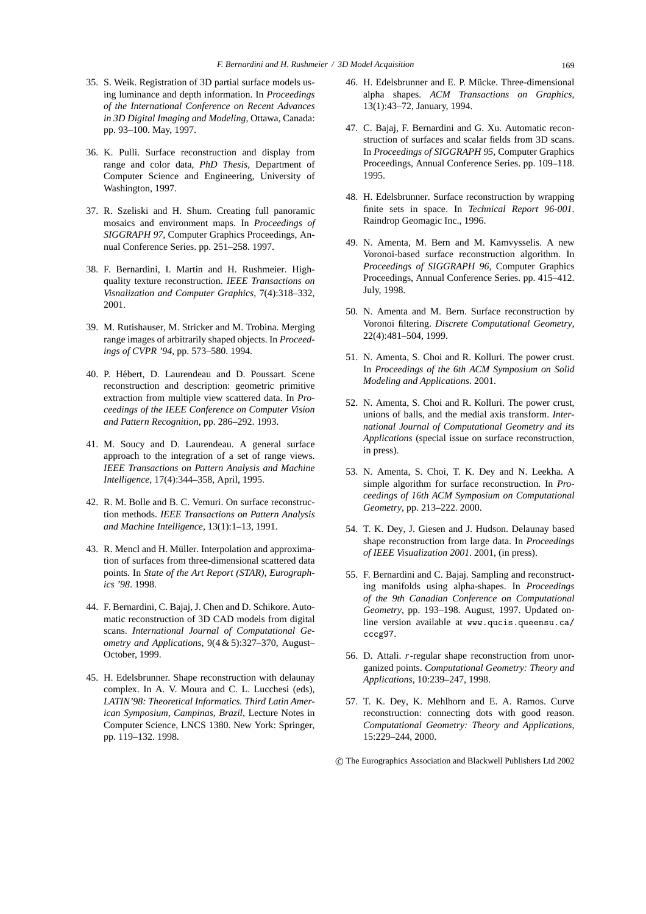- 35. S. Weik. Registration of 3D partial surface models using luminance and depth information. In *Proceedings of the International Conference on Recent Advances in 3D Digital Imaging and Modeling*, Ottawa, Canada: pp. 93–100. May, 1997.
- 36. K. Pulli. Surface reconstruction and display from range and color data, *PhD Thesis*, Department of Computer Science and Engineering, University of Washington, 1997.
- 37. R. Szeliski and H. Shum. Creating full panoramic mosaics and environment maps. In *Proceedings of SIGGRAPH 97*, Computer Graphics Proceedings, Annual Conference Series. pp. 251–258. 1997.
- 38. F. Bernardini, I. Martin and H. Rushmeier. Highquality texture reconstruction. *IEEE Transactions on Visnalization and Computer Graphics*, 7(4):318–332, 2001.
- 39. M. Rutishauser, M. Stricker and M. Trobina. Merging range images of arbitrarily shaped objects. In *Proceedings of CVPR '94*, pp. 573–580. 1994.
- 40. P. Hebert, D. Laurendeau and D. Poussart. Scene ´ reconstruction and description: geometric primitive extraction from multiple view scattered data. In *Proceedings of the IEEE Conference on Computer Vision and Pattern Recognition*, pp. 286–292. 1993.
- 41. M. Soucy and D. Laurendeau. A general surface approach to the integration of a set of range views. *IEEE Transactions on Pattern Analysis and Machine Intelligence*, 17(4):344–358, April, 1995.
- 42. R. M. Bolle and B. C. Vemuri. On surface reconstruction methods. *IEEE Transactions on Pattern Analysis and Machine Intelligence*, 13(1):1–13, 1991.
- 43. R. Mencl and H. Müller. Interpolation and approximation of surfaces from three-dimensional scattered data points. In *State of the Art Report (STAR), Eurographics '98*. 1998.
- 44. F. Bernardini, C. Bajaj, J. Chen and D. Schikore. Automatic reconstruction of 3D CAD models from digital scans. *International Journal of Computational Geometry and Applications*, 9(4 & 5):327–370, August– October, 1999.
- 45. H. Edelsbrunner. Shape reconstruction with delaunay complex. In A. V. Moura and C. L. Lucchesi (eds), *LATIN'98: Theoretical Informatics. Third Latin American Symposium, Campinas, Brazil*, Lecture Notes in Computer Science, LNCS 1380. New York: Springer, pp. 119–132. 1998.
- 46. H. Edelsbrunner and E. P. Mücke. Three-dimensional alpha shapes. *ACM Transactions on Graphics*, 13(1):43–72, January, 1994.
- 47. C. Bajaj, F. Bernardini and G. Xu. Automatic reconstruction of surfaces and scalar fields from 3D scans. In *Proceedings of SIGGRAPH 95*, Computer Graphics Proceedings, Annual Conference Series. pp. 109–118. 1995.
- 48. H. Edelsbrunner. Surface reconstruction by wrapping finite sets in space. In *Technical Report 96-001*. Raindrop Geomagic Inc., 1996.
- 49. N. Amenta, M. Bern and M. Kamvysselis. A new Voronoi-based surface reconstruction algorithm. In *Proceedings of SIGGRAPH 96*, Computer Graphics Proceedings, Annual Conference Series. pp. 415–412. July, 1998.
- 50. N. Amenta and M. Bern. Surface reconstruction by Voronoi filtering. *Discrete Computational Geometry*, 22(4):481–504, 1999.
- 51. N. Amenta, S. Choi and R. Kolluri. The power crust. In *Proceedings of the 6th ACM Symposium on Solid Modeling and Applications*. 2001.
- 52. N. Amenta, S. Choi and R. Kolluri. The power crust, unions of balls, and the medial axis transform. *International Journal of Computational Geometry and its Applications* (special issue on surface reconstruction, in press).
- 53. N. Amenta, S. Choi, T. K. Dey and N. Leekha. A simple algorithm for surface reconstruction. In *Proceedings of 16th ACM Symposium on Computational Geometry*, pp. 213–222. 2000.
- 54. T. K. Dey, J. Giesen and J. Hudson. Delaunay based shape reconstruction from large data. In *Proceedings of IEEE Visualization 2001*. 2001, (in press).
- 55. F. Bernardini and C. Bajaj. Sampling and reconstructing manifolds using alpha-shapes. In *Proceedings of the 9th Canadian Conference on Computational Geometry*, pp. 193–198. August, 1997. Updated online version available at www.qucis.queensu.ca/ cccg97.
- 56. D. Attali. *r*-regular shape reconstruction from unorganized points. *Computational Geometry: Theory and Applications*, 10:239–247, 1998.
- 57. T. K. Dey, K. Mehlhorn and E. A. Ramos. Curve reconstruction: connecting dots with good reason. *Computational Geometry: Theory and Applications*, 15:229–244, 2000.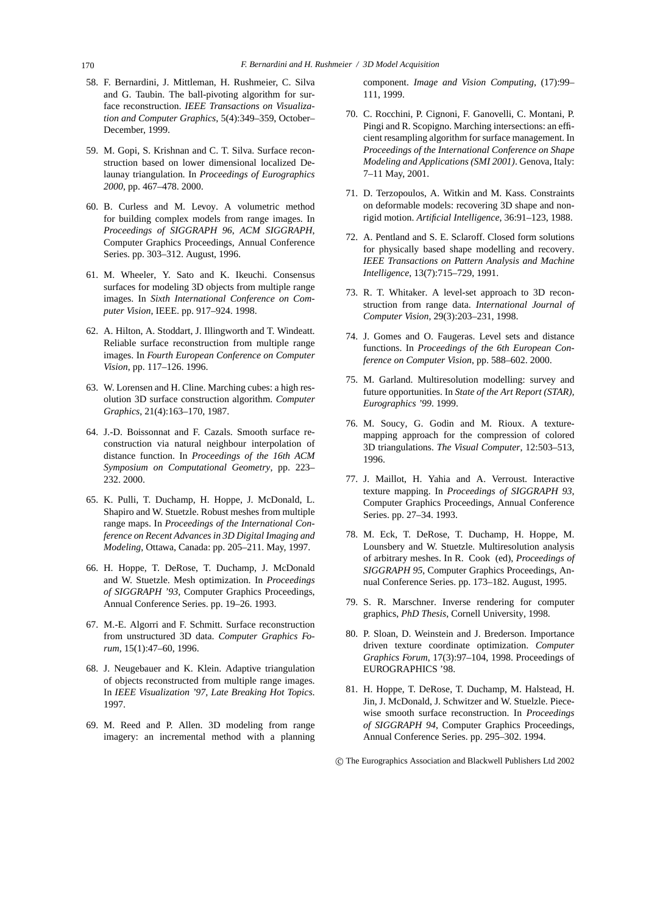- 58. F. Bernardini, J. Mittleman, H. Rushmeier, C. Silva and G. Taubin. The ball-pivoting algorithm for surface reconstruction. *IEEE Transactions on Visualization and Computer Graphics*, 5(4):349–359, October– December, 1999.
- 59. M. Gopi, S. Krishnan and C. T. Silva. Surface reconstruction based on lower dimensional localized Delaunay triangulation. In *Proceedings of Eurographics 2000*, pp. 467–478. 2000.
- 60. B. Curless and M. Levoy. A volumetric method for building complex models from range images. In *Proceedings of SIGGRAPH 96*, *ACM SIGGRAPH*, Computer Graphics Proceedings, Annual Conference Series. pp. 303–312. August, 1996.
- 61. M. Wheeler, Y. Sato and K. Ikeuchi. Consensus surfaces for modeling 3D objects from multiple range images. In *Sixth International Conference on Computer Vision*, IEEE. pp. 917–924. 1998.
- 62. A. Hilton, A. Stoddart, J. Illingworth and T. Windeatt. Reliable surface reconstruction from multiple range images. In *Fourth European Conference on Computer Vision*, pp. 117–126. 1996.
- 63. W. Lorensen and H. Cline. Marching cubes: a high resolution 3D surface construction algorithm. *Computer Graphics*, 21(4):163–170, 1987.
- 64. J.-D. Boissonnat and F. Cazals. Smooth surface reconstruction via natural neighbour interpolation of distance function. In *Proceedings of the 16th ACM Symposium on Computational Geometry*, pp. 223– 232. 2000.
- 65. K. Pulli, T. Duchamp, H. Hoppe, J. McDonald, L. Shapiro and W. Stuetzle. Robust meshes from multiple range maps. In *Proceedings of the International Conference on Recent Advances in 3D Digital Imaging and Modeling*, Ottawa, Canada: pp. 205–211. May, 1997.
- 66. H. Hoppe, T. DeRose, T. Duchamp, J. McDonald and W. Stuetzle. Mesh optimization. In *Proceedings of SIGGRAPH '93*, Computer Graphics Proceedings, Annual Conference Series. pp. 19–26. 1993.
- 67. M.-E. Algorri and F. Schmitt. Surface reconstruction from unstructured 3D data. *Computer Graphics Forum*, 15(1):47–60, 1996.
- 68. J. Neugebauer and K. Klein. Adaptive triangulation of objects reconstructed from multiple range images. In *IEEE Visualization '97, Late Breaking Hot Topics*. 1997.
- 69. M. Reed and P. Allen. 3D modeling from range imagery: an incremental method with a planning

component. *Image and Vision Computing*, (17):99– 111, 1999.

- 70. C. Rocchini, P. Cignoni, F. Ganovelli, C. Montani, P. Pingi and R. Scopigno. Marching intersections: an efficient resampling algorithm for surface management. In *Proceedings of the International Conference on Shape Modeling and Applications (SMI 2001)*. Genova, Italy: 7–11 May, 2001.
- 71. D. Terzopoulos, A. Witkin and M. Kass. Constraints on deformable models: recovering 3D shape and nonrigid motion. *Artificial Intelligence*, 36:91–123, 1988.
- 72. A. Pentland and S. E. Sclaroff. Closed form solutions for physically based shape modelling and recovery. *IEEE Transactions on Pattern Analysis and Machine Intelligence*, 13(7):715–729, 1991.
- 73. R. T. Whitaker. A level-set approach to 3D reconstruction from range data. *International Journal of Computer Vision*, 29(3):203–231, 1998.
- 74. J. Gomes and O. Faugeras. Level sets and distance functions. In *Proceedings of the 6th European Conference on Computer Vision*, pp. 588–602. 2000.
- 75. M. Garland. Multiresolution modelling: survey and future opportunities. In *State of the Art Report (STAR), Eurographics '99*. 1999.
- 76. M. Soucy, G. Godin and M. Rioux. A texturemapping approach for the compression of colored 3D triangulations. *The Visual Computer*, 12:503–513, 1996.
- 77. J. Maillot, H. Yahia and A. Verroust. Interactive texture mapping. In *Proceedings of SIGGRAPH 93*, Computer Graphics Proceedings, Annual Conference Series. pp. 27–34. 1993.
- 78. M. Eck, T. DeRose, T. Duchamp, H. Hoppe, M. Lounsbery and W. Stuetzle. Multiresolution analysis of arbitrary meshes. In R. Cook (ed), *Proceedings of SIGGRAPH 95*, Computer Graphics Proceedings, Annual Conference Series. pp. 173–182. August, 1995.
- 79. S. R. Marschner. Inverse rendering for computer graphics, *PhD Thesis*, Cornell University, 1998.
- 80. P. Sloan, D. Weinstein and J. Brederson. Importance driven texture coordinate optimization. *Computer Graphics Forum*, 17(3):97–104, 1998. Proceedings of EUROGRAPHICS '98.
- 81. H. Hoppe, T. DeRose, T. Duchamp, M. Halstead, H. Jin, J. McDonald, J. Schwitzer and W. Stuelzle. Piecewise smooth surface reconstruction. In *Proceedings of SIGGRAPH 94*, Computer Graphics Proceedings, Annual Conference Series. pp. 295–302. 1994.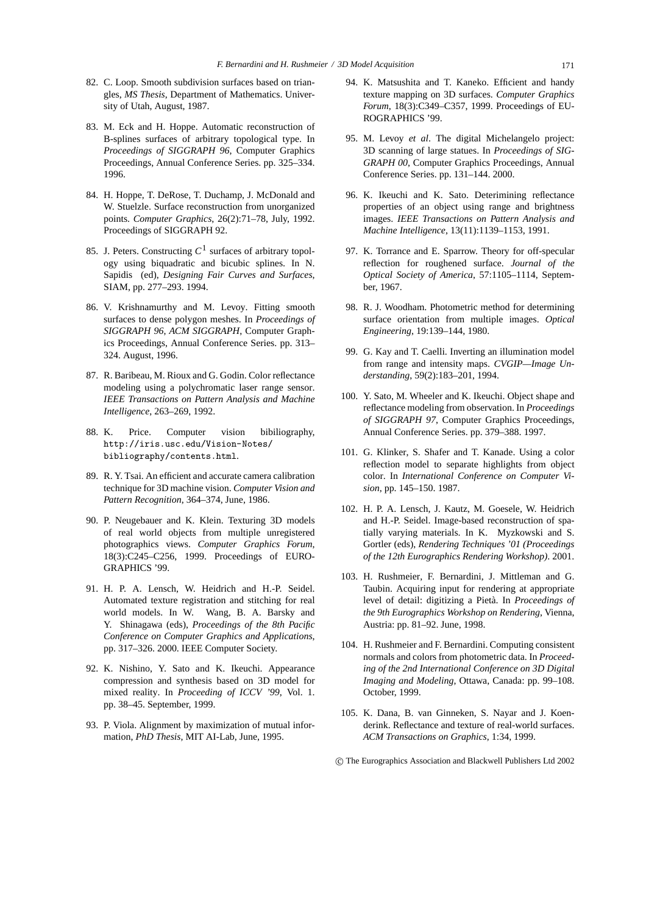- 82. C. Loop. Smooth subdivision surfaces based on triangles, *MS Thesis*, Department of Mathematics. University of Utah, August, 1987.
- 83. M. Eck and H. Hoppe. Automatic reconstruction of B-splines surfaces of arbitrary topological type. In *Proceedings of SIGGRAPH 96*, Computer Graphics Proceedings, Annual Conference Series. pp. 325–334. 1996.
- 84. H. Hoppe, T. DeRose, T. Duchamp, J. McDonald and W. Stuelzle. Surface reconstruction from unorganized points. *Computer Graphics*, 26(2):71–78, July, 1992. Proceedings of SIGGRAPH 92.
- 85. J. Peters. Constructing *C*<sup>1</sup> surfaces of arbitrary topology using biquadratic and bicubic splines. In N. Sapidis (ed), *Designing Fair Curves and Surfaces*, SIAM, pp. 277–293. 1994.
- 86. V. Krishnamurthy and M. Levoy. Fitting smooth surfaces to dense polygon meshes. In *Proceedings of SIGGRAPH 96*, *ACM SIGGRAPH*, Computer Graphics Proceedings, Annual Conference Series. pp. 313– 324. August, 1996.
- 87. R. Baribeau, M. Rioux and G. Godin. Color reflectance modeling using a polychromatic laser range sensor. *IEEE Transactions on Pattern Analysis and Machine Intelligence*, 263–269, 1992.
- 88. K. Price. Computer vision bibiliography, http://iris.usc.edu/Vision-Notes/ bibliography/contents.html.
- 89. R. Y. Tsai. An efficient and accurate camera calibration technique for 3D machine vision. *Computer Vision and Pattern Recognition*, 364–374, June, 1986.
- 90. P. Neugebauer and K. Klein. Texturing 3D models of real world objects from multiple unregistered photographics views. *Computer Graphics Forum*, 18(3):C245–C256, 1999. Proceedings of EURO-GRAPHICS '99.
- 91. H. P. A. Lensch, W. Heidrich and H.-P. Seidel. Automated texture registration and stitching for real world models. In W. Wang, B. A. Barsky and Y. Shinagawa (eds), *Proceedings of the 8th Pacific Conference on Computer Graphics and Applications*, pp. 317–326. 2000. IEEE Computer Society.
- 92. K. Nishino, Y. Sato and K. Ikeuchi. Appearance compression and synthesis based on 3D model for mixed reality. In *Proceeding of ICCV '99*, Vol. 1. pp. 38–45. September, 1999.
- 93. P. Viola. Alignment by maximization of mutual information, *PhD Thesis*, MIT AI-Lab, June, 1995.
- 94. K. Matsushita and T. Kaneko. Efficient and handy texture mapping on 3D surfaces. *Computer Graphics Forum*, 18(3):C349–C357, 1999. Proceedings of EU-ROGRAPHICS '99.
- 95. M. Levoy *et al*. The digital Michelangelo project: 3D scanning of large statues. In *Proceedings of SIG-GRAPH 00*, Computer Graphics Proceedings, Annual Conference Series. pp. 131–144. 2000.
- 96. K. Ikeuchi and K. Sato. Deterimining reflectance properties of an object using range and brightness images. *IEEE Transactions on Pattern Analysis and Machine Intelligence*, 13(11):1139–1153, 1991.
- 97. K. Torrance and E. Sparrow. Theory for off-specular reflection for roughened surface. *Journal of the Optical Society of America*, 57:1105–1114, September, 1967.
- 98. R. J. Woodham. Photometric method for determining surface orientation from multiple images. *Optical Engineering*, 19:139–144, 1980.
- 99. G. Kay and T. Caelli. Inverting an illumination model from range and intensity maps. *CVGIP—Image Understanding*, 59(2):183–201, 1994.
- 100. Y. Sato, M. Wheeler and K. Ikeuchi. Object shape and reflectance modeling from observation. In *Proceedings of SIGGRAPH 97*, Computer Graphics Proceedings, Annual Conference Series. pp. 379–388. 1997.
- 101. G. Klinker, S. Shafer and T. Kanade. Using a color reflection model to separate highlights from object color. In *International Conference on Computer Vision*, pp. 145–150. 1987.
- 102. H. P. A. Lensch, J. Kautz, M. Goesele, W. Heidrich and H.-P. Seidel. Image-based reconstruction of spatially varying materials. In K. Myzkowski and S. Gortler (eds), *Rendering Techniques '01 (Proceedings of the 12th Eurographics Rendering Workshop)*. 2001.
- 103. H. Rushmeier, F. Bernardini, J. Mittleman and G. Taubin. Acquiring input for rendering at appropriate level of detail: digitizing a Pieta. In ` *Proceedings of the 9th Eurographics Workshop on Rendering*, Vienna, Austria: pp. 81–92. June, 1998.
- 104. H. Rushmeier and F. Bernardini. Computing consistent normals and colors from photometric data. In *Proceeding of the 2nd International Conference on 3D Digital Imaging and Modeling*, Ottawa, Canada: pp. 99–108. October, 1999.
- 105. K. Dana, B. van Ginneken, S. Nayar and J. Koenderink. Reflectance and texture of real-world surfaces. *ACM Transactions on Graphics*, 1:34, 1999.